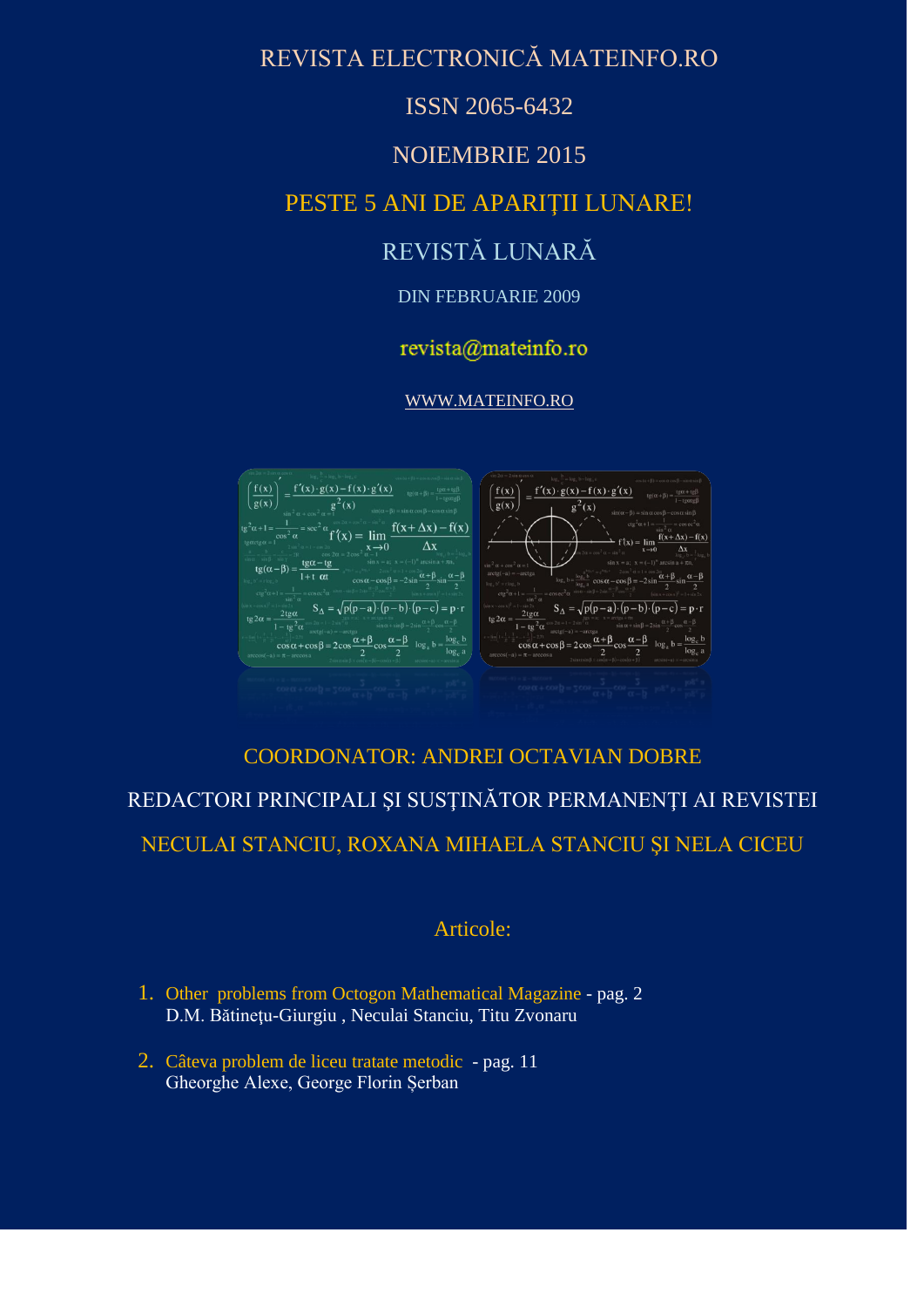## REVISTA ELECTRONICĂ MATEINFO.RO

### ISSN 2065-6432

### NOIEMBRIE 2015

## PESTE 5 ANI DE APARIŢII LUNARE!

# REVISTĂ LUNARĂ

### DIN FEBRUARIE 2009

### revista@mateinfo.ro

### [WWW.MATEINFO.RO](http://www.mateinfo.ro/)



# COORDONATOR: ANDREI OCTAVIAN DOBRE REDACTORI PRINCIPALI ŞI SUSŢINĂTOR PERMANENŢI AI REVISTEI NECULAI STANCIU, ROXANA MIHAELA STANCIU ŞI NELA CICEU

### Articole:

- 1. Other problems from Octogon Mathematical Magazine pag. 2 D.M. Bătineţu-Giurgiu , Neculai Stanciu, Titu Zvonaru
- 2. Câteva problem de liceu tratate metodic pag. 11 Gheorghe Alexe, George Florin Șerban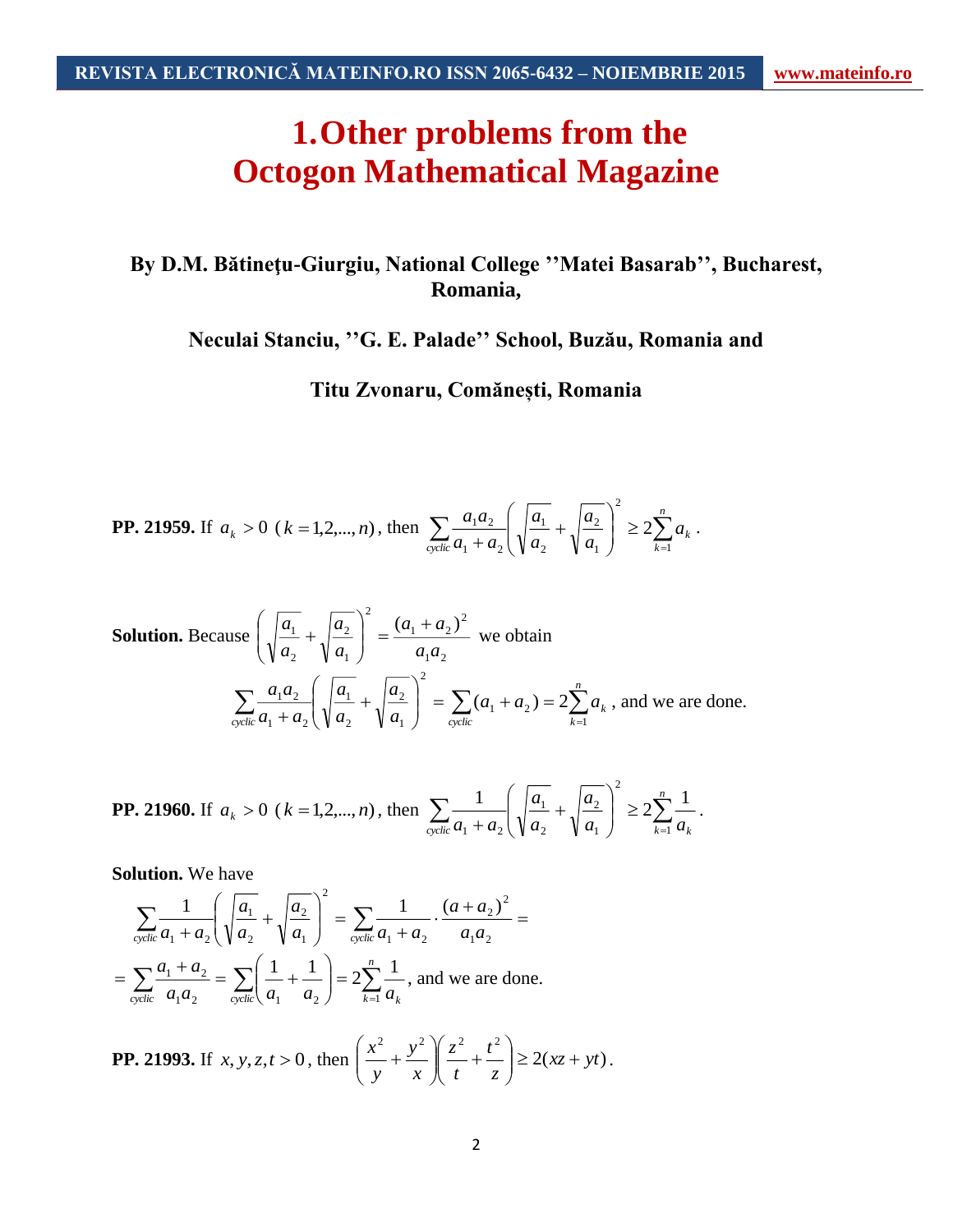**1.Other problems from the Octogon Mathematical Magazine**

## **By D.M. Bătineţu-Giurgiu, National College ''Matei Basarab'', Bucharest, Romania,**

**Neculai Stanciu, ''G. E. Palade'' School, Buzău, Romania and**

**Titu Zvonaru, Comănești, Romania**

**PP. 21959.** If 
$$
a_k > 0
$$
 ( $k = 1, 2, ..., n$ ), then 
$$
\sum_{\text{cyclic}} \frac{a_1 a_2}{a_1 + a_2} \left( \sqrt{\frac{a_1}{a_2}} + \sqrt{\frac{a_2}{a_1}} \right)^2 \ge 2 \sum_{k=1}^n a_k.
$$

Solution. Because 
$$
\left(\sqrt{\frac{a_1}{a_2}} + \sqrt{\frac{a_2}{a_1}}\right)^2 = \frac{(a_1 + a_2)^2}{a_1 a_2}
$$
 we obtain  

$$
\sum_{\text{cyclic}} \frac{a_1 a_2}{a_1 + a_2} \left(\sqrt{\frac{a_1}{a_2}} + \sqrt{\frac{a_2}{a_1}}\right)^2 = \sum_{\text{cyclic}} (a_1 + a_2) = 2 \sum_{k=1}^n a_k
$$
, and we are done.

**PP. 21960.** If 
$$
a_k > 0
$$
 ( $k = 1, 2, ..., n$ ), then 
$$
\sum_{\text{cyclic}} \frac{1}{a_1 + a_2} \left( \sqrt{\frac{a_1}{a_2}} + \sqrt{\frac{a_2}{a_1}} \right)^2 \ge 2 \sum_{k=1}^n \frac{1}{a_k}.
$$

**Solution.** We have

$$
\sum_{\text{cyclic}} \frac{1}{a_1 + a_2} \left( \sqrt{\frac{a_1}{a_2}} + \sqrt{\frac{a_2}{a_1}} \right)^2 = \sum_{\text{cyclic}} \frac{1}{a_1 + a_2} \cdot \frac{(a + a_2)^2}{a_1 a_2} =
$$
  
= 
$$
\sum_{\text{cyclic}} \frac{a_1 + a_2}{a_1 a_2} = \sum_{\text{cyclic}} \left( \frac{1}{a_1} + \frac{1}{a_2} \right) = 2 \sum_{k=1}^n \frac{1}{a_k}
$$
, and we are done.

**PP. 21993.** If 
$$
x, y, z, t > 0
$$
, then  $\left(\frac{x^2}{y} + \frac{y^2}{x}\right)\left(\frac{z^2}{t} + \frac{t^2}{z}\right) \ge 2(xz + yt)$ .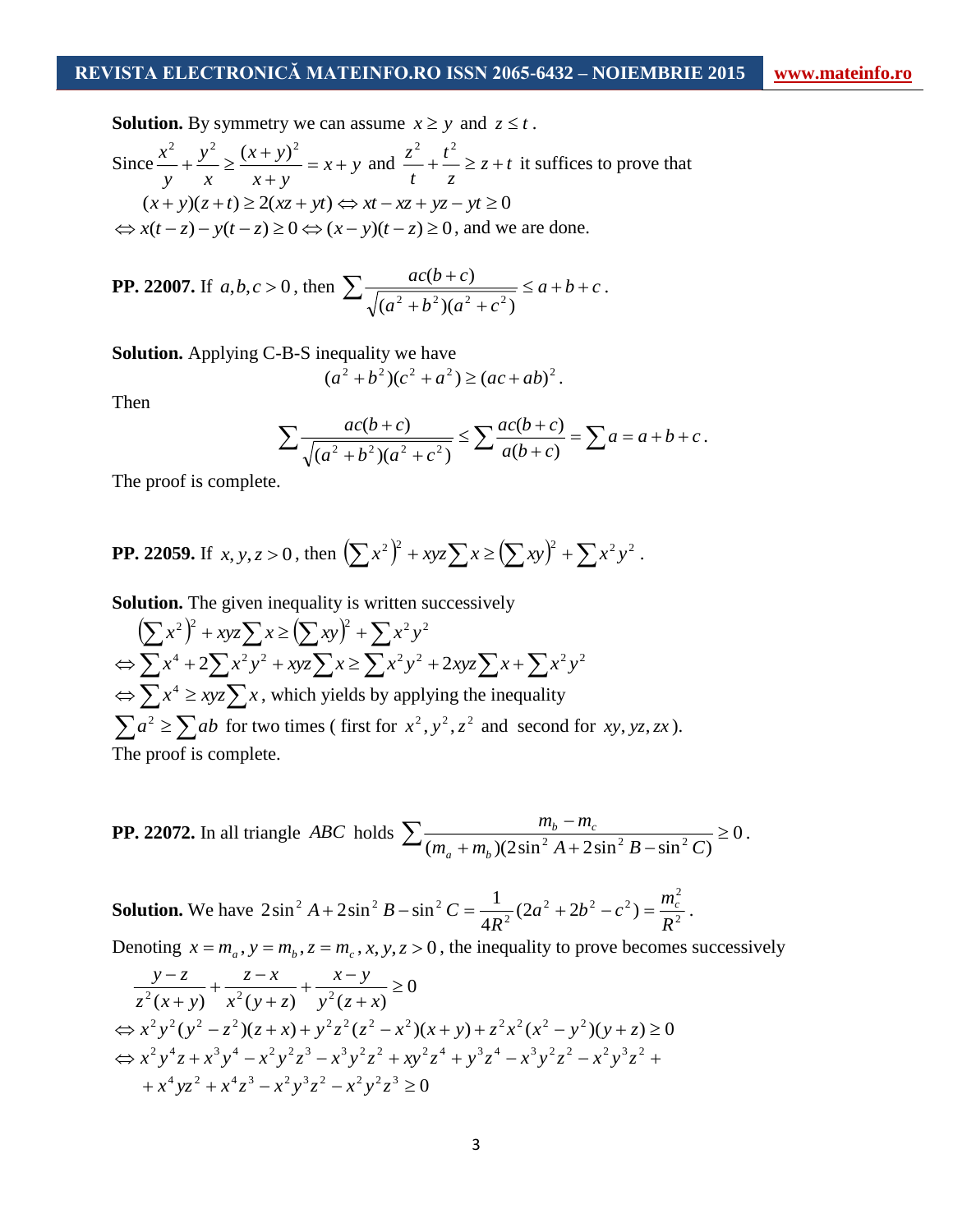**Solution.** By symmetry we can assume  $x \geq y$  and  $z \leq t$ .

Since 
$$
\frac{x^2}{y} + \frac{y^2}{x} \ge \frac{(x+y)^2}{x+y} = x+y
$$
 and  $\frac{z^2}{t} + \frac{t^2}{z} \ge z+t$  it suffices to prove that  
\n $(x+y)(z+t) \ge 2(xz+yt) \Leftrightarrow xt - xz + yz - yt \ge 0$   
\n $\Leftrightarrow x(t-z) - y(t-z) \ge 0 \Leftrightarrow (x-y)(t-z) \ge 0$ , and we are done.

**PP. 22007.** If 
$$
a, b, c > 0
$$
, then 
$$
\sum \frac{ac(b+c)}{\sqrt{(a^2+b^2)(a^2+c^2)}} \le a+b+c.
$$

**Solution.** Applying C-B-S inequality we have

$$
(a2 + b2)(c2 + a2) \ge (ac + ab)2.
$$

Then

$$
\sum \frac{ac(b+c)}{\sqrt{(a^2+b^2)(a^2+c^2)}} \le \sum \frac{ac(b+c)}{a(b+c)} = \sum a = a+b+c.
$$

The proof is complete.

**PP. 22059.** If 
$$
x, y, z > 0
$$
, then  $(\sum x^2)^2 + xyz \sum x \ge (\sum xy)^2 + \sum x^2 y^2$ .

**Solution.** The given inequality is written successively

 $(\sum x^2)^2 + xyz\sum x \ge (\sum xy)^2 + \sum x^2y^2$  $\Leftrightarrow$   $\sum x^4 + 2\sum x^2y^2 + xyz\sum x \ge \sum x^2y^2 + 2xyz\sum x + \sum x^2y^2$  $\Leftrightarrow$   $\sum x^4 \geq xyz \sum x$ , which yields by applying the inequality  $\sum a^2 \ge \sum ab$  for two times (first for  $x^2$ ,  $y^2$ ,  $z^2$  and second for *xy*, *yz*, *zx*). The proof is complete.

**PP. 22072.** In all triangle *ABC* holds 
$$
\sum \frac{m_b - m_c}{(m_a + m_b)(2\sin^2 A + 2\sin^2 B - \sin^2 C)} \ge 0.
$$

**Solution.** We have  $2\sin^2 A + 2\sin^2 B - \sin^2 C = \frac{1}{4R^2}(2a^2 + 2b^2 - c^2) = \frac{mc}{R^2}$ 2 2 2  $m_c^2$ 2  $2^2 A + 2\sin^2 B - \sin^2 C = \frac{1}{4R^2}(2a^2 + 2b^2 - c^2)$  $2\sin^2 A + 2\sin^2 B - \sin^2 C = \frac{1}{2}$ *R*  $a^2 + 2b^2 - c^2 = \frac{m}{2}$ *R*  $A + 2\sin^2 B - \sin^2 C = \frac{1}{1} (2a^2 + 2b^2 - c^2) = \frac{m_c}{1}$ .

Denoting  $x = m_a$ ,  $y = m_b$ ,  $z = m_c$ ,  $x$ ,  $y$ ,  $z > 0$ , the inequality to prove becomes successively

$$
\frac{y-z}{z^2(x+y)} + \frac{z-x}{x^2(y+z)} + \frac{x-y}{y^2(z+x)} \ge 0
$$
  
\n
$$
\Leftrightarrow x^2 y^2 (y^2 - z^2)(z+x) + y^2 z^2 (z^2 - x^2)(x+y) + z^2 x^2 (x^2 - y^2)(y+z) \ge 0
$$
  
\n
$$
\Leftrightarrow x^2 y^4 z + x^3 y^4 - x^2 y^2 z^3 - x^3 y^2 z^2 + xy^2 z^4 + y^3 z^4 - x^3 y^2 z^2 - x^2 y^3 z^2 + x^4 y^2 + x^4 z^3 - x^2 y^3 z^2 - x^2 y^2 z^3 \ge 0
$$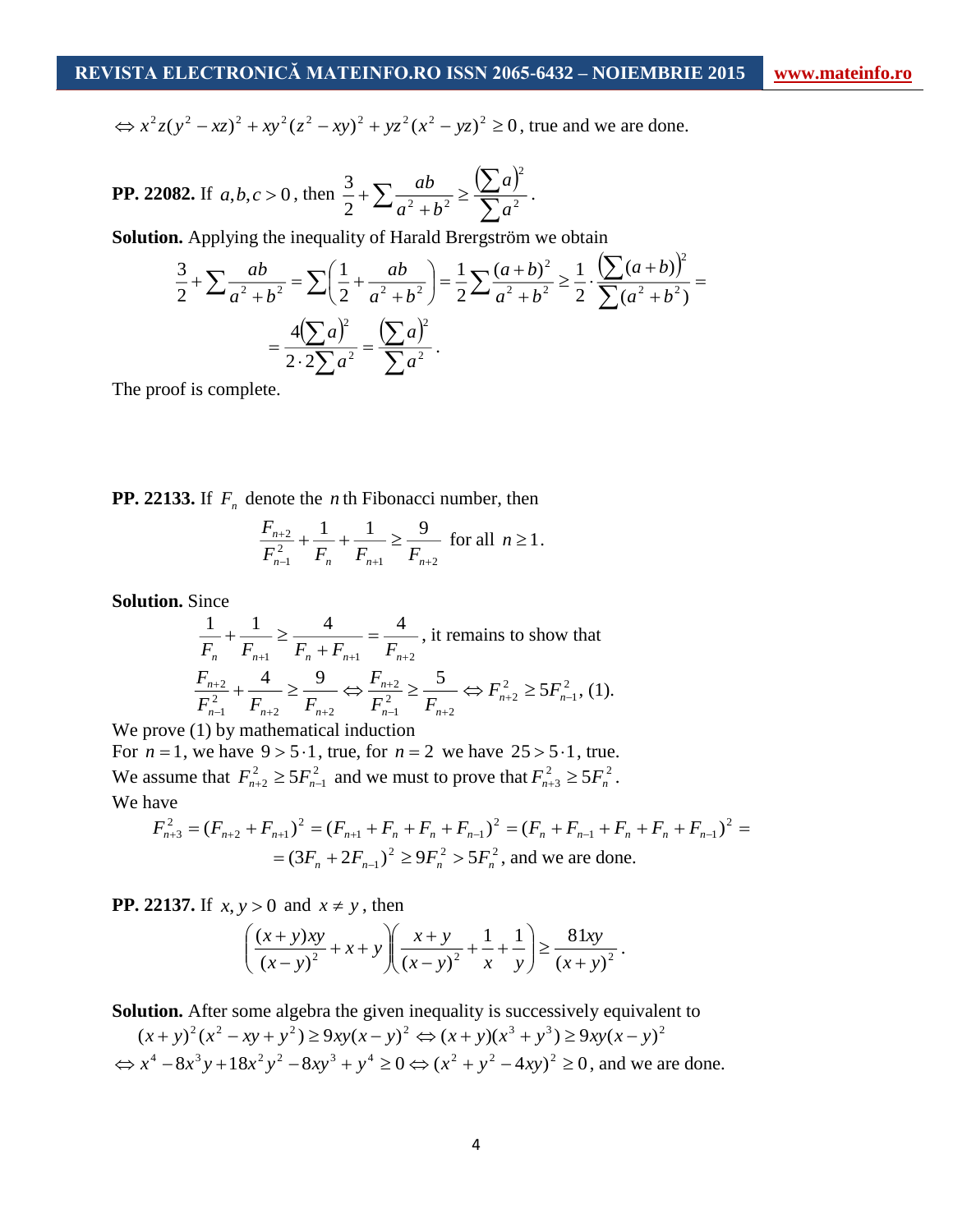$\lambda$ 2

 $\Rightarrow x^2z(y^2 - xz)^2 + xy^2(z^2 - xy)^2 + yz^2(x^2 - yz)^2 \ge 0$ , true and we are done.

**PP. 22082.** If 
$$
a, b, c > 0
$$
, then  $\frac{3}{2} + \sum \frac{ab}{a^2 + b^2} \ge \frac{(\sum a)^2}{\sum a^2}$ .

**Solution.** Applying the inequality of Harald Brergström we obtain

$$
\frac{3}{2} + \sum \frac{ab}{a^2 + b^2} = \sum \left(\frac{1}{2} + \frac{ab}{a^2 + b^2}\right) = \frac{1}{2} \sum \frac{(a+b)^2}{a^2 + b^2} \ge \frac{1}{2} \cdot \frac{\left(\sum (a+b)\right)^2}{\sum (a^2 + b^2)} = \frac{4\left(\sum a\right)^2}{2 \cdot 2 \sum a^2} = \frac{\left(\sum a\right)^2}{\sum a^2}.
$$

The proof is complete.

**PP. 22133.** If  $F_n$  denote the *n* th Fibonacci number, then

$$
\frac{F_{n+2}}{F_{n-1}^2} + \frac{1}{F_n} + \frac{1}{F_{n+1}} \ge \frac{9}{F_{n+2}} \text{ for all } n \ge 1.
$$

**Solution.** Since

$$
\frac{1}{F_n} + \frac{1}{F_{n+1}} \ge \frac{4}{F_n + F_{n+1}} = \frac{4}{F_{n+2}}, \text{ it remains to show that}
$$
\n
$$
\frac{F_{n+2}}{F_{n-1}^2} + \frac{4}{F_{n+2}} \ge \frac{9}{F_{n+2}} \Leftrightarrow \frac{F_{n+2}}{F_{n-1}^2} \ge \frac{5}{F_{n+2}} \Leftrightarrow F_{n+2}^2 \ge 5F_{n-1}^2, (1).
$$

We prove  $(1)$  by mathematical induction

For  $n = 1$ , we have  $9 > 5 \cdot 1$ , true, for  $n = 2$  we have  $25 > 5 \cdot 1$ , true. We assume that  $F_{n+2}^2 \ge 5F_{n-2}^2$  $F_{n+2}^2 \ge 5F_{n-1}^2$  and we must to prove that  $F_{n+3}^2 \ge 5F_n^2$ . We have

$$
F_{n+3}^2 = (F_{n+2} + F_{n+1})^2 = (F_{n+1} + F_n + F_n + F_{n-1})^2 = (F_n + F_{n-1} + F_n + F_n + F_{n-1})^2 =
$$
  
=  $(3F_n + 2F_{n-1})^2 \ge 9F_n^2 > 5F_n^2$ , and we are done.

**PP. 22137.** If  $x, y > 0$  and  $x \neq y$ , then

$$
\left(\frac{(x+y)xy}{(x-y)^2} + x + y\right)\left(\frac{x+y}{(x-y)^2} + \frac{1}{x} + \frac{1}{y}\right) \ge \frac{81xy}{(x+y)^2}.
$$

**Solution.** After some algebra the given inequality is successively equivalent to

$$
(x+y)^2(x^2 - xy + y^2) \ge 9xy(x-y)^2 \Leftrightarrow (x+y)(x^3 + y^3) \ge 9xy(x-y)^2
$$
  

$$
\Leftrightarrow x^4 - 8x^3y + 18x^2y^2 - 8xy^3 + y^4 \ge 0 \Leftrightarrow (x^2 + y^2 - 4xy)^2 \ge 0
$$
, and we are done.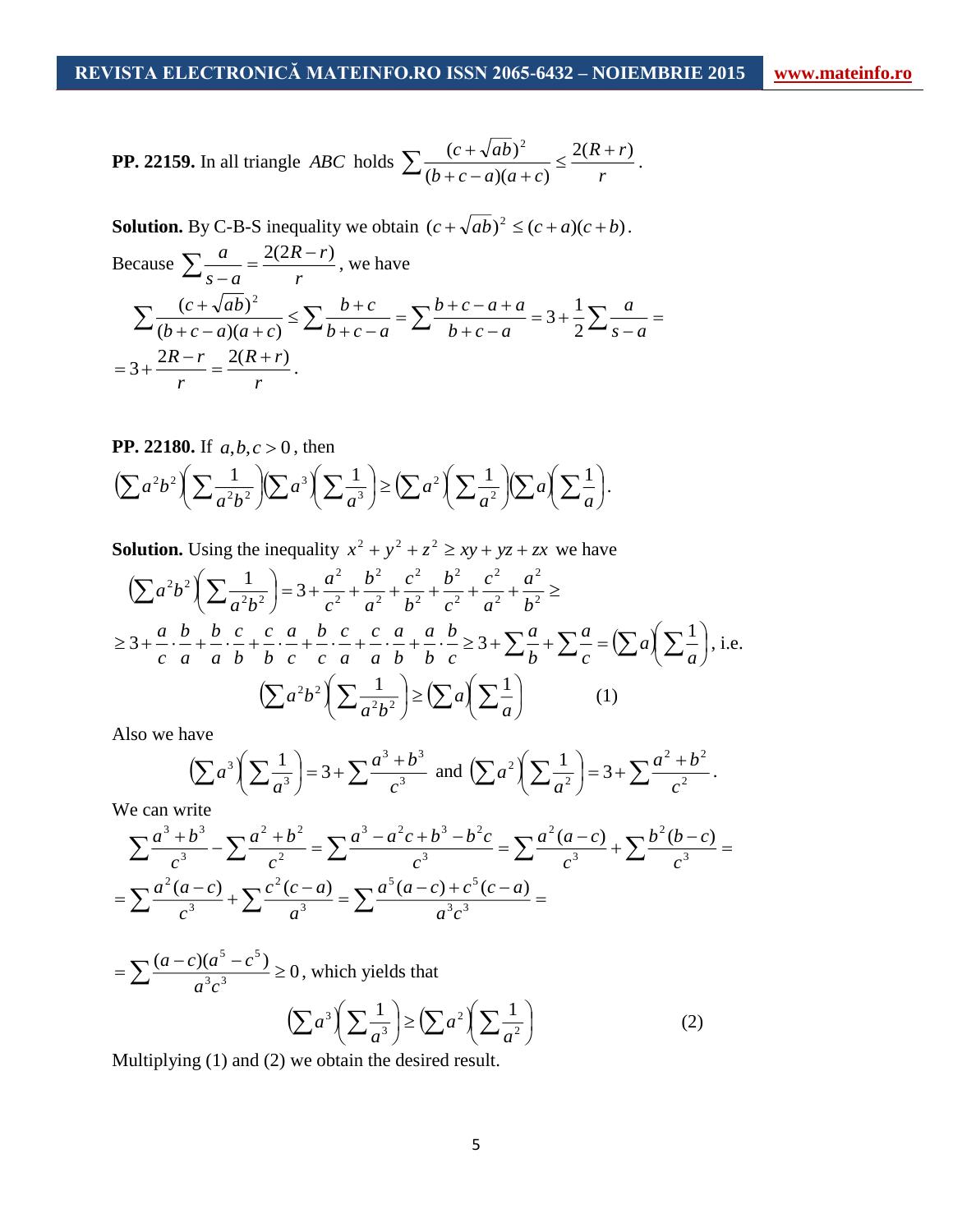**Solution.** By C-B-S inequality we obtain  $(c + \sqrt{ab})^2 \le (c + a)(c + b)$ .

Because 
$$
\sum \frac{a}{s-a} = \frac{2(2R-r)}{r}, \text{ we have}
$$

$$
\sum \frac{(c+\sqrt{ab})^2}{(b+c-a)(a+c)} \le \sum \frac{b+c}{b+c-a} = \sum \frac{b+c-a+a}{b+c-a} = 3 + \frac{1}{2} \sum \frac{a}{s-a} =
$$

$$
= 3 + \frac{2R-r}{r} = \frac{2(R+r)}{r}.
$$

**PP. 22180.** If 
$$
a, b, c > 0
$$
, then  
\n
$$
\left(\sum a^2 b^2 \left(\sum \frac{1}{a^2 b^2}\right) \left(\sum a^3 \left(\sum \frac{1}{a^3}\right) \ge \left(\sum a^2 \left(\sum \frac{1}{a^2}\right) \left(\sum a\right) \left(\sum \frac{1}{a}\right)\right)\right)
$$

**Solution.** Using the inequality  $x^2 + y^2 + z^2 \geq xy + yz + zx$  we have

$$
\left(\sum a^{2}b^{2}\right)\left(\sum \frac{1}{a^{2}b^{2}}\right) = 3 + \frac{a^{2}}{c^{2}} + \frac{b^{2}}{a^{2}} + \frac{c^{2}}{b^{2}} + \frac{c^{2}}{a^{2}} + \frac{a^{2}}{b^{2}} \ge
$$
  
\n
$$
\ge 3 + \frac{a}{c} \cdot \frac{b}{a} + \frac{b}{a} \cdot \frac{c}{b} + \frac{c}{b} \cdot \frac{a}{c} + \frac{b}{c} \cdot \frac{c}{a} + \frac{a}{a} \cdot \frac{b}{b} + \frac{b}{c} \ge 3 + \sum \frac{a}{b} + \sum \frac{a}{c} = \left(\sum a\right)\left(\sum \frac{1}{a}\right), \text{ i.e.}
$$
  
\n
$$
\left(\sum a^{2}b^{2}\right)\left(\sum \frac{1}{a^{2}b^{2}}\right) \ge \left(\sum a\right)\left(\sum \frac{1}{a}\right) \qquad (1)
$$

Also we have

$$
\left(\sum a^3 \left(\sum \frac{1}{a^3}\right) = 3 + \sum \frac{a^3 + b^3}{c^3} \text{ and } \left(\sum a^2 \left(\sum \frac{1}{a^2}\right) = 3 + \sum \frac{a^2 + b^2}{c^2} \right).
$$

We can write

$$
\sum \frac{a^3 + b^3}{c^3} - \sum \frac{a^2 + b^2}{c^2} = \sum \frac{a^3 - a^2c + b^3 - b^2c}{c^3} = \sum \frac{a^2(a-c)}{c^3} + \sum \frac{b^2(b-c)}{c^3} =
$$

$$
= \sum \frac{a^2(a-c)}{c^3} + \sum \frac{c^2(c-a)}{a^3} = \sum \frac{a^5(a-c) + c^5(c-a)}{a^3c^3} =
$$

 $\frac{(a-c)(a^3-c^3)}{a} \ge 0$ 3 3 5 5  $=\sum \frac{(a-c)(a^2-c^2)}{a^3c^3} \ge 0$ , which yields that  $\left(\sum a^3\right)\left(\sum \frac{1}{a^3}\right) \ge \left(\sum a^2\right)\left(\sum \frac{1}{a^2}\right)$  $\left(\sum_{n=1}^{n} \right)$ l  $\geq (\sum a^2)$ J  $\left(\sum_{i=2}^{n} \right)$  $\sum a^3 \left(\sum \frac{1}{a^3}\right) \ge \left(\sum a^2\right)\left(\sum \frac{1}{a^2}\right)$ 3  $_3$  $\sqrt{1}$ ,  $\sqrt{2}$   $_2$  $\sqrt{2}$   $_1$ *a a*  $a^3 \left( \sum_{a^3} \right) \ge \left( \sum a^2 \right) \left( \sum_{a^2} \right)$  (2)

Multiplying (1) and (2) we obtain the desired result.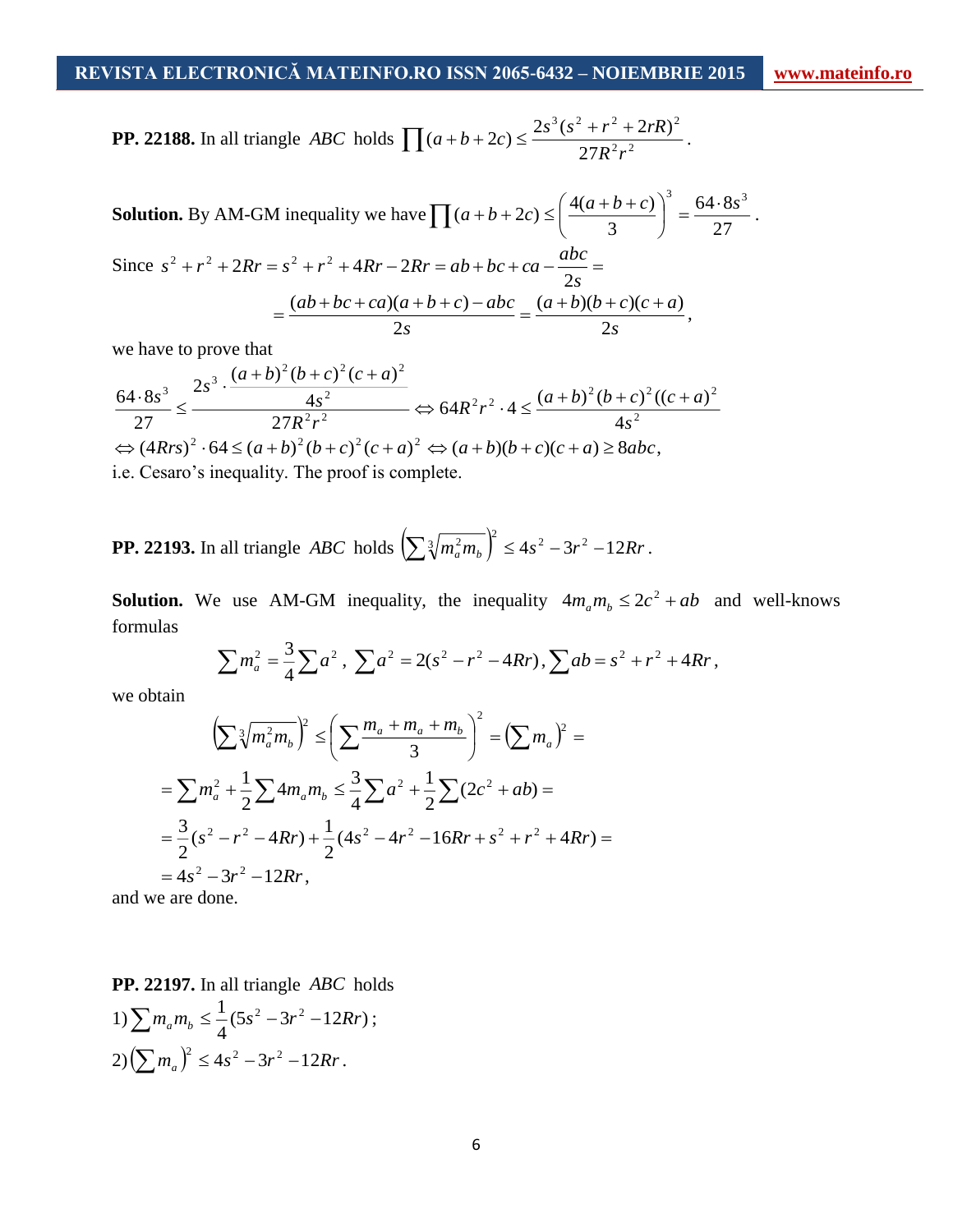**PP. 22188.** In all triangle *ABC* holds  $\left[ (a+b+2c) \le \frac{23(18-17)}{27R^2} \right]$  $3 \times 2$   $2 \times 2$   $2 \times 2$ 27  $(a+b+2c) \leq \frac{2s^3(s^2+r^2+2rR)}{27R^2r^2}$  $\prod (a+b+2c) \leq \frac{2s^3(s^2+r^2+2rR)^2}{27R^2c^2}.$ 

**Solution.** By AM-GM inequality we have 
$$
\Pi (a+b+2c) \le \left(\frac{4(a+b+c)}{3}\right)^3 = \frac{64 \cdot 8s^3}{27}
$$
.  
\nSince  $s^2 + r^2 + 2Rr = s^2 + r^2 + 4Rr - 2Rr = ab + bc + ca - \frac{abc}{2s} =$   
\n
$$
= \frac{(ab+bc+ca)(a+b+c) - abc}{2s} = \frac{(a+b)(b+c)(c+a)}{2s},
$$

we have to prove that

$$
\frac{64 \cdot 8s^3}{27} \le \frac{2s^3 \cdot \frac{(a+b)^2 (b+c)^2 (c+a)^2}{4s^2}}{27R^2 r^2} \Leftrightarrow 64R^2 r^2 \cdot 4 \le \frac{(a+b)^2 (b+c)^2 ((c+a)^2)}{4s^2}
$$
  
\n
$$
\Leftrightarrow (4Rrs)^2 \cdot 64 \le (a+b)^2 (b+c)^2 (c+a)^2 \Leftrightarrow (a+b)(b+c)(c+a) \ge 8abc,
$$
  
\ni.e. Cesaro's inequality. The proof is complete.

**PP. 22193.** In all triangle *ABC* holds 
$$
\left(\sum \sqrt[3]{m_a^2 m_b}\right)^2 \le 4s^2 - 3r^2 - 12Rr
$$
.

**Solution.** We use AM-GM inequality, the inequality  $4m_a m_b \leq 2c^2 + ab$  and well-knows formulas

$$
\sum m_a^2 = \frac{3}{4} \sum a^2 , \sum a^2 = 2(s^2 - r^2 - 4Rr) , \sum ab = s^2 + r^2 + 4Rr ,
$$

we obtain

$$
\left(\sum \sqrt[3]{m_a^2 m_b}\right)^2 \le \left(\sum \frac{m_a + m_a + m_b}{3}\right)^2 = \left(\sum m_a\right)^2 =
$$
  
=  $\sum m_a^2 + \frac{1}{2} \sum 4m_a m_b \le \frac{3}{4} \sum a^2 + \frac{1}{2} \sum (2c^2 + ab) =$   
=  $\frac{3}{2} (s^2 - r^2 - 4Rr) + \frac{1}{2} (4s^2 - 4r^2 - 16Rr + s^2 + r^2 + 4Rr) =$   
=  $4s^2 - 3r^2 - 12Rr$ ,

and we are done.

**PP. 22197.** In all triangle *ABC* holds  $1) \sum m_a m_b \leq \frac{1}{4} (5s^2 - 3r^2 - 12Rr)$  $\sum m_a m_b \leq \frac{1}{4} (5s^2 - 3r^2 - 12Rr)$ ;  $2)\left(\sum m_a\right)^2 \leq 4s^2 - 3r^2 - 12Rr$ .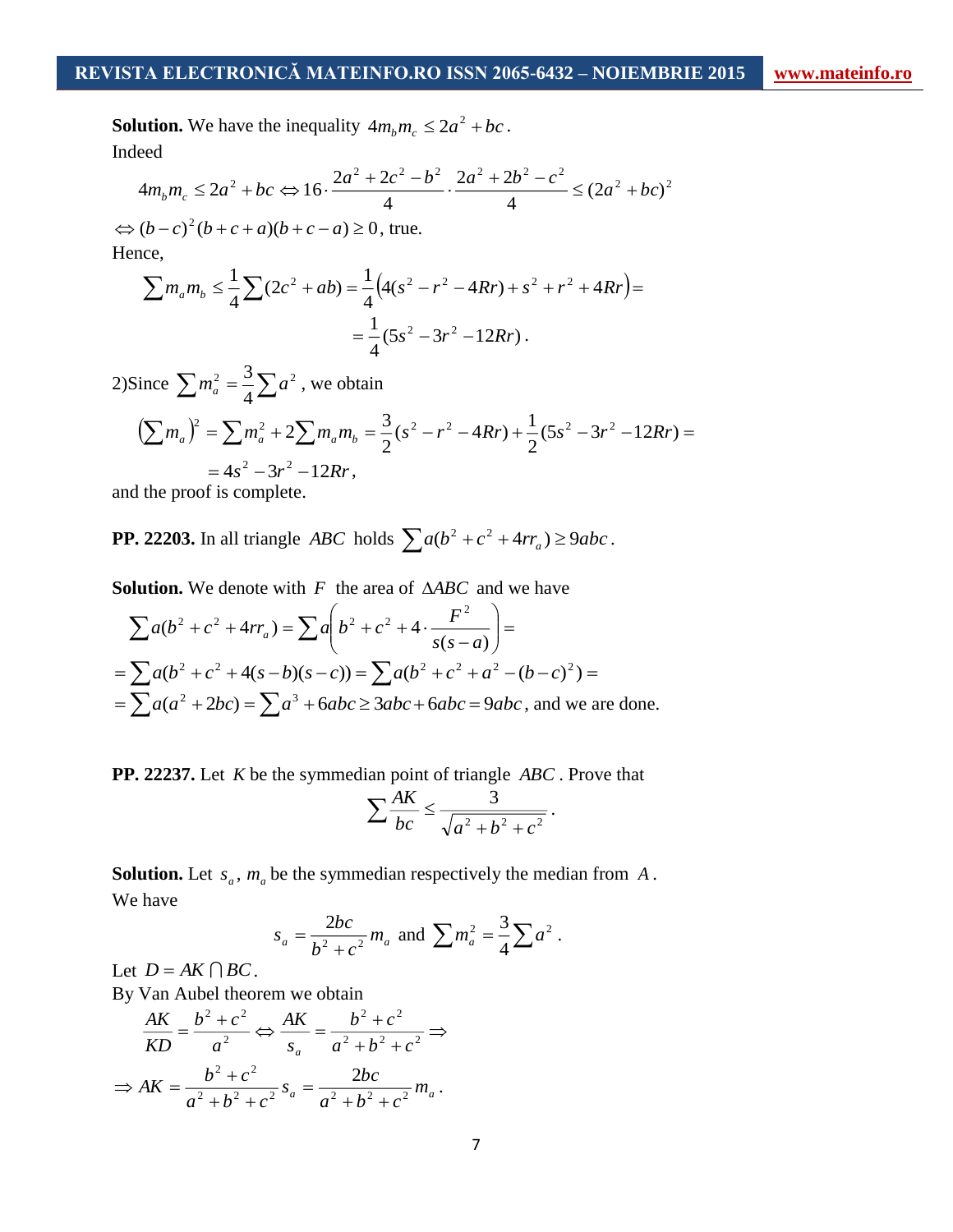**Solution.** We have the inequality  $4m_b m_c \leq 2a^2 + bc$ . Indeed

$$
4m_b m_c \le 2a^2 + bc \Leftrightarrow 16 \cdot \frac{2a^2 + 2c^2 - b^2}{4} \cdot \frac{2a^2 + 2b^2 - c^2}{4} \le (2a^2 + bc)^2
$$

 $\Leftrightarrow (b-c)^2(b+c+a)(b+c-a) \ge 0$ , true. Hence,

$$
\sum m_a m_b \le \frac{1}{4} \sum (2c^2 + ab) = \frac{1}{4} \Big( 4(s^2 - r^2 - 4Rr) + s^2 + r^2 + 4Rr \Big) =
$$
  
=  $\frac{1}{4} (5s^2 - 3r^2 - 12Rr)$ .

2)Since  $\sum m_a^2 = \frac{3}{4} \sum a^2$ 4  $m_a^2 = \frac{3}{4} \sum a^2$ , we obtain

$$
\left(\sum m_a\right)^2 = \sum m_a^2 + 2\sum m_a m_b = \frac{3}{2}(s^2 - r^2 - 4Rr) + \frac{1}{2}(5s^2 - 3r^2 - 12Rr) =
$$
  
= 4s<sup>2</sup> - 3r<sup>2</sup> - 12Rr,

and the proof is complete.

**PP. 22203.** In all triangle *ABC* holds  $\sum a(b^2 + c^2 + 4rr_a) \ge 9abc$ .

Solution. We denote with F the area of  $\triangle ABC$  and we have

$$
\sum a(b^2 + c^2 + 4rr_a) = \sum a\left(b^2 + c^2 + 4 \cdot \frac{F^2}{s(s-a)}\right) =
$$
  
= 
$$
\sum a(b^2 + c^2 + 4(s-b)(s-c)) = \sum a(b^2 + c^2 + a^2 - (b-c)^2) =
$$
  
= 
$$
\sum a(a^2 + 2bc) = \sum a^3 + 6abc \ge 3abc + 6abc = 9abc
$$
, and we are done.

**PP. 22237.** Let *K* be the symmedian point of triangle *ABC* . Prove that

$$
\sum \frac{AK}{bc} \le \frac{3}{\sqrt{a^2 + b^2 + c^2}}.
$$

**Solution.** Let  $s_a$ ,  $m_a$  be the symmedian respectively the median from A. We have

$$
s_a = \frac{2bc}{b^2 + c^2} m_a
$$
 and  $\sum m_a^2 = \frac{3}{4} \sum a^2$ .

Let  $D = AK \bigcap BC$ .

By Van Aubel theorem we obtain

$$
\frac{AK}{KD} = \frac{b^2 + c^2}{a^2} \Leftrightarrow \frac{AK}{s_a} = \frac{b^2 + c^2}{a^2 + b^2 + c^2} \Rightarrow
$$

$$
\Rightarrow AK = \frac{b^2 + c^2}{a^2 + b^2 + c^2} s_a = \frac{2bc}{a^2 + b^2 + c^2} m_a.
$$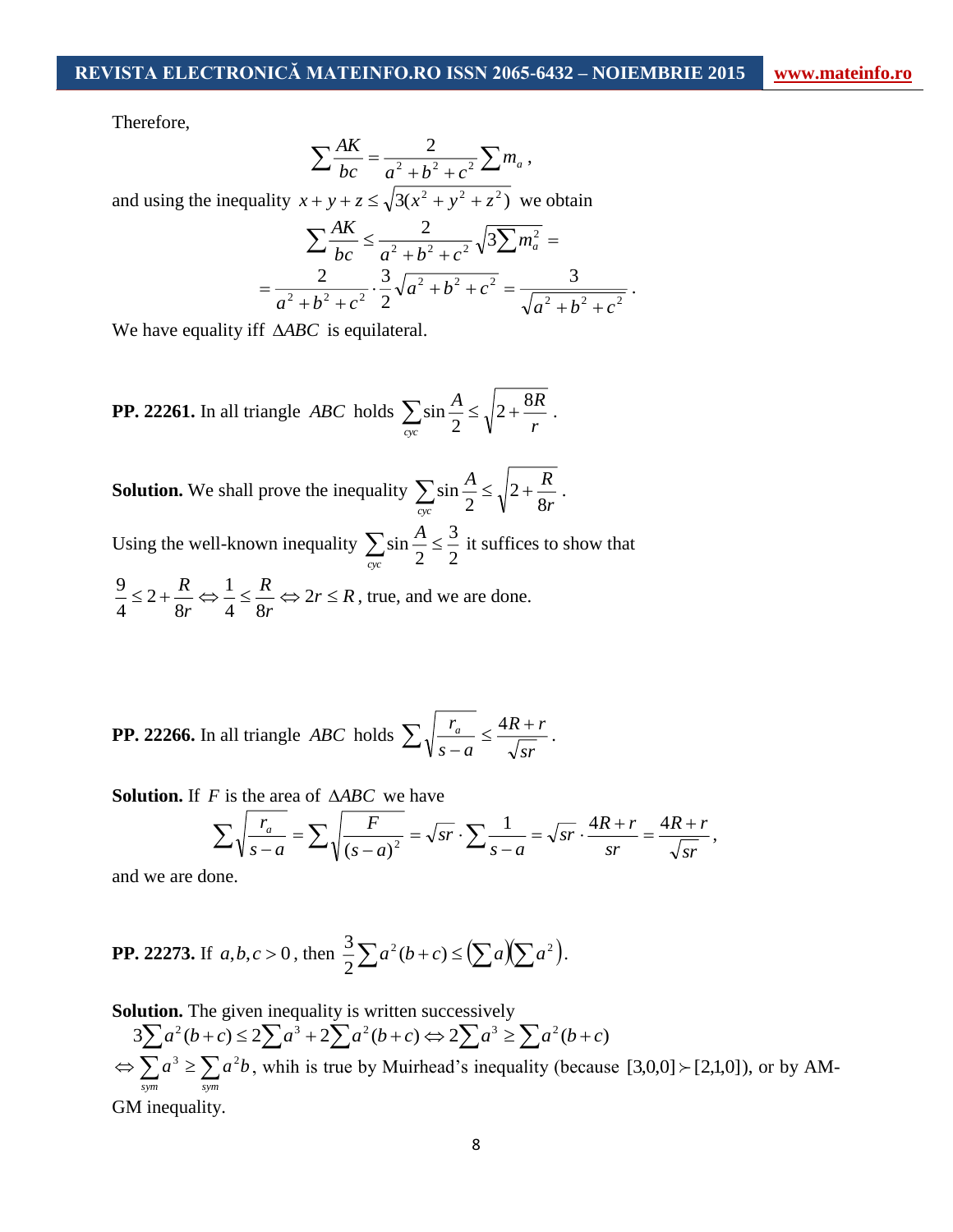Therefore,

$$
\sum \frac{AK}{bc} = \frac{2}{a^2 + b^2 + c^2} \sum m_a,
$$

and using the inequality  $x + y + z \le \sqrt{3(x^2 + y^2 + z^2)}$  we obtain

$$
\sum \frac{AK}{bc} \le \frac{2}{a^2 + b^2 + c^2} \sqrt{3} \sum m_a^2 =
$$
  
= 
$$
\frac{2}{a^2 + b^2 + c^2} \cdot \frac{3}{2} \sqrt{a^2 + b^2 + c^2} = \frac{3}{\sqrt{a^2 + b^2 + c^2}}.
$$

We have equality iff  $\triangle ABC$  is equilateral.

**PP. 22261.** In all triangle *ABC* holds  $\sum_{n=1}^{\infty} \sin \frac{n}{2} \le \sqrt{2 + \frac{6n}{r}}$ *A R cyc*  $2 + \frac{8}{5}$  $\sum_{r} \sin \frac{A}{2} \leq \sqrt{2 + \frac{6A}{r}}$ .

**Solution.** We shall prove the inequality  $\sum_{n=1}^{\infty} \sin \frac{n}{2} \leq \sqrt{2} + \frac{R}{8r}$ *A R*  $\frac{C}{cyc}$  2  $\sqrt{8}$ 2  $\sum_{r} \sin \frac{A}{2} \leq \sqrt{2 + \frac{R}{8r}}$ . Using the well-known inequality  $\sum_{n=1}^{\infty} \sin \frac{n}{2} \leq \frac{3}{2}$ 3  $\sum_{n=1}$  sin  $\frac{n}{2} \le$ *cyc*  $\frac{A}{2} \leq \frac{3}{4}$  it suffices to show that *<sup>r</sup> R r R r*  $\leq 2 + \frac{R}{2} \Leftrightarrow \frac{1}{2} \leq \frac{R}{2} \Leftrightarrow 2r \leq$ 4 8 1 8 2 4  $\frac{9}{1} \leq 2 + \frac{R}{1} \Leftrightarrow \frac{1}{1} \leq \frac{R}{1} \Leftrightarrow 2r \leq R$ , true, and we are done.

**PP. 22266.** In all triangle *ABC* holds *sr R <sup>r</sup> s a*  $\sum \sqrt{\frac{r_a}{s-a}} \leq \frac{4R+r}{\sqrt{sr}}$ .

**Solution.** If  $F$  is the area of  $\triangle ABC$  we have

$$
\sum \sqrt{\frac{r_a}{s-a}} = \sum \sqrt{\frac{F}{(s-a)^2}} = \sqrt{sr} \cdot \sum \frac{1}{s-a} = \sqrt{sr} \cdot \frac{4R+r}{sr} = \frac{4R+r}{\sqrt{sr}},
$$

and we are done.

**PP. 22273.** If 
$$
a, b, c > 0
$$
, then  $\frac{3}{2} \sum a^2 (b + c) \le (\sum a)(\sum a^2)$ .

**Solution.** The given inequality is written successively

 $3\sum a^2(b+c) \leq 2\sum a^3 + 2\sum a^2(b+c) \Leftrightarrow 2\sum a^3 \geq \sum a^2(b+c)$  $\Leftrightarrow$   $\sum a^3 \ge \sum$ *sym sym*  $a^3 \ge \sum a^2b$ , whih is true by Muirhead's inequality (because [3,0,0]  $\succ$  [2,1,0]), or by AM-

GM inequality.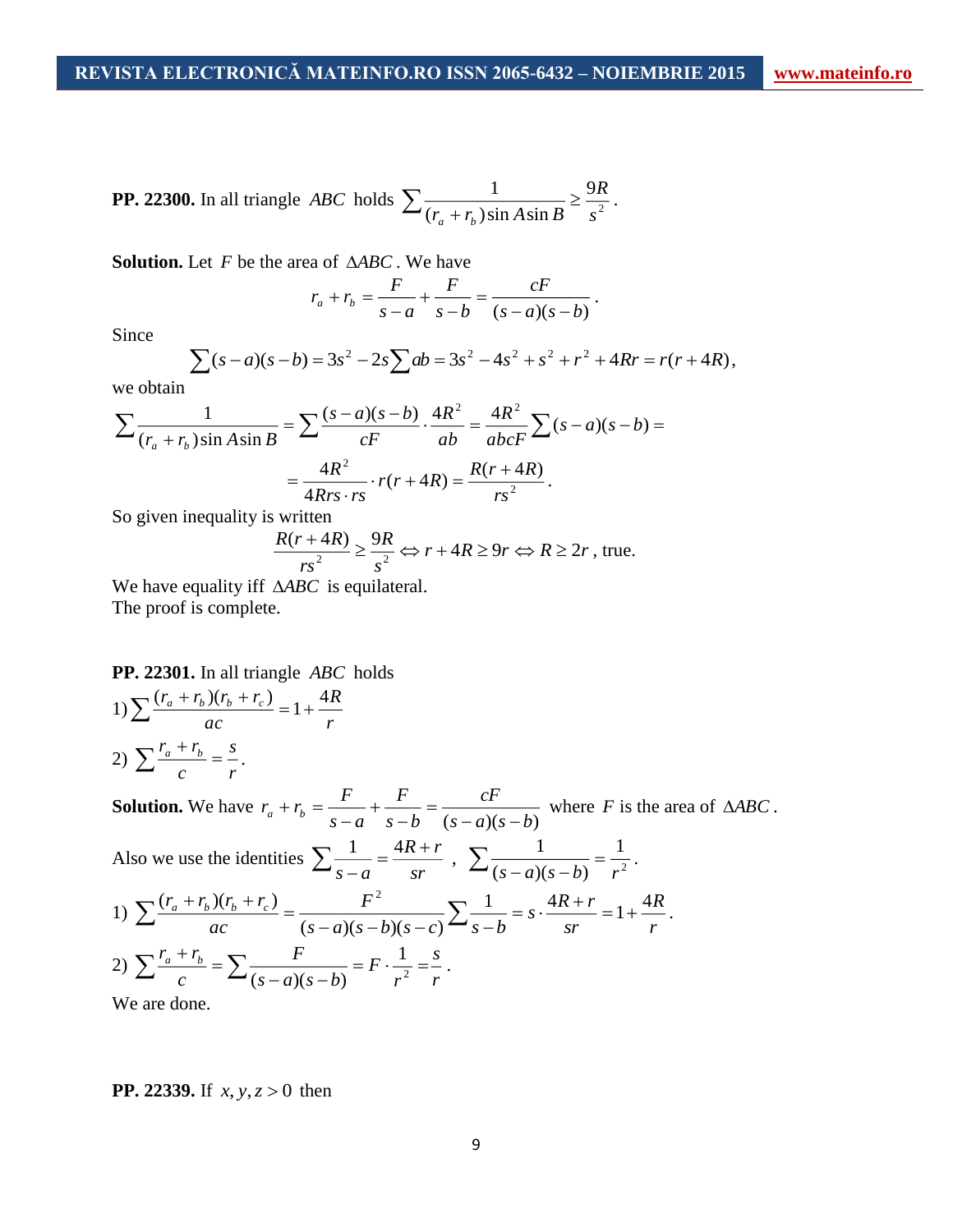**PP. 22300.** In all triangle *ABC* holds 
$$
\sum \frac{1}{(r_a + r_b)\sin A \sin B} \ge \frac{9R}{s^2}.
$$

Solution. Let F be the area of  $\triangle ABC$ . We have

$$
r_a + r_b = \frac{F}{s-a} + \frac{F}{s-b} = \frac{cF}{(s-a)(s-b)}.
$$

Since

$$
\sum (s-a)(s-b) = 3s^2 - 2s \sum ab = 3s^2 - 4s^2 + s^2 + r^2 + 4Rr = r(r+4R),
$$

we obtain

$$
\sum \frac{1}{(r_a + r_b)\sin A \sin B} = \sum \frac{(s-a)(s-b)}{cF} \cdot \frac{4R^2}{ab} = \frac{4R^2}{abcF} \sum (s-a)(s-b) =
$$

$$
= \frac{4R^2}{4Rrs \cdot rs} \cdot r(r+4R) = \frac{R(r+4R)}{rs^2}.
$$

So given inequality is written

$$
\frac{R(r+4R)}{rs^2} \ge \frac{9R}{s^2} \Leftrightarrow r+4R \ge 9r \Leftrightarrow R \ge 2r
$$
, true.

We have equality iff  $\triangle ABC$  is equilateral. The proof is complete.

#### **PP. 22301.** In all triangle *ABC* holds

*R*

1) 
$$
\sum \frac{(r_a + r_b)(r_b + r_c)}{ac} = 1 + \frac{41}{r}
$$
  
2) 
$$
\sum \frac{r_a + r_b}{c} = \frac{s}{r}.
$$

**Solution.** We have  $(s-a)(s-b)$ *cF <sup>s</sup> b F s a F*  $r_a + r_b = \frac{ }{s-a} + \frac{ }{s-b} = \frac{ }{(s-a)(s-b)}$  $+r_b = \frac{r}{s-a} + \frac{r}{s-b} = \frac{c}{(s-a)(s-b)}$  where *F* is the area of  $\triangle ABC$ . Also we use the identities  $\sum_{s=a}^1 = \frac{4R}{sr}$ *R <sup>r</sup> s a*  $\sum \frac{1}{s-a} = \frac{4R+r}{sr}, \sum \frac{1}{(s-a)(s-b)} = \frac{1}{r^2}$ 1  $(s-a)(s-b)$ 1  $(s-a)(s-b)$  *r*  $=$  $\sum \frac{1}{(s-a)(s-b)} = \frac{1}{r^2}.$ 1)  $\sum \frac{(r_a + r_b)(r_b + r_c)}{ac} = \frac{1}{(s-a)(s-b)(s-c)} \sum \frac{1}{s-b} = s \cdot \frac{4R+r}{sr} = 1 + \frac{4R}{r}$ *R sr*  $\frac{F^2}{(s-a)(s-b)(s-c)}\sum_{s}\frac{1}{s-b}=s\cdot\frac{4R+r}{sr}$ *F ac*  $(r_a + r_b)(r_b + r_c) =$   $\frac{F^2}{r_a + r_b} = \frac{4R + r}{r_a} = 1 + \frac{4R + r_c}{r_a} = 1 + \frac{4R + r_c}{r_a} = 1 + \frac{4R + r_c}{r_a} = 1 + \frac{4R + r_c}{r_a} = 1 + \frac{4R + r_c}{r_a} = 1 + \frac{4R + r_c}{r_a} = 1 + \frac{4R + r_c}{r_a} = 1 + \frac{4R + r_c}{r_a} = 1 + \frac{4R + r_c}{r_a} = 1 + \frac{4R + r_c}{r_a} = 1 + \frac{4R + r_c}{r_a} = 1$  $(s-a)(s-b)(s-c)$  $(r_a + r_b)(r_b + r_c)$   $F^2$  $\frac{F^2}{-a(s-b)(s-c)}\sum_{s\,-b} \frac{1}{s-b} = s\cdot \frac{4R+r}{sr} = 1+$  $=$  $\sum \frac{(r_a + r_b)(r_b + r_c)}{r_b} = \frac{F^2}{(r_a - r_b)(r_b - r_b)(r_b - r_b)} \sum \frac{1}{r_b - r_b} = s \cdot \frac{4R + r}{r_b} = 1 + \frac{4R}{r_b}.$ 2)  $\sum \frac{r_a + r_b}{c} = \sum \frac{r}{(s-a)(s-b)} = F \cdot \frac{1}{r^2} = \frac{s}{r}$ *s r F*  $s - a$  $(s - b)$ *F*  $\sum_{c} \frac{r_a + r_b}{c} = \sum_{(s-a)(s-b)} \frac{r}{s^2} = F \cdot \frac{1}{r^2} =$ Ξ  $\,+\,$ 2 1  $(s-a)(s-b)$ .

We are done.

#### **PP. 22339.** If  $x, y, z > 0$  then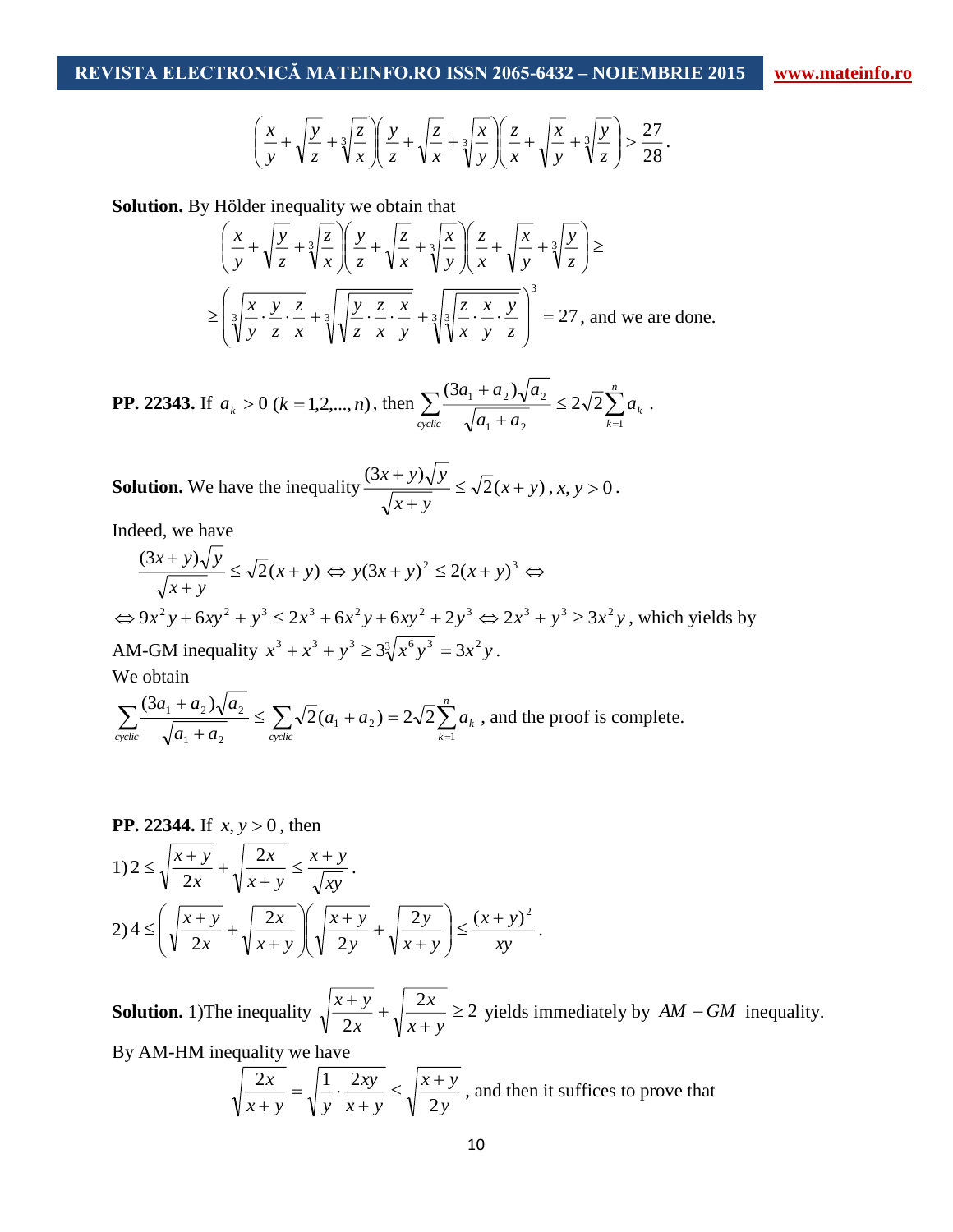$$
\left(\frac{x}{y} + \sqrt{\frac{y}{z}} + \sqrt[3]{\frac{z}{x}}\right)\left(\frac{y}{z} + \sqrt{\frac{z}{x}} + \sqrt[3]{\frac{x}{y}}\right)\left(\frac{z}{x} + \sqrt{\frac{x}{y}} + \sqrt[3]{\frac{y}{z}}\right) > \frac{27}{28}.
$$

**Solution.** By Hölder inequality we obtain that

$$
\left(\frac{x}{y} + \sqrt{\frac{y}{z}} + \sqrt[3]{\frac{z}{x}}\right)\left(\frac{y}{z} + \sqrt{\frac{z}{x}} + \sqrt[3]{\frac{x}{y}}\right)\left(\frac{z}{x} + \sqrt{\frac{x}{y}} + \sqrt[3]{\frac{y}{z}}\right) \ge
$$
\n
$$
\ge \left(\sqrt[3]{\frac{x}{y} \cdot \frac{y}{z} \cdot \frac{z}{x}} + \sqrt[3]{\sqrt{\frac{y}{z} \cdot \frac{z}{x} \cdot \frac{x}{y}}} + \sqrt[3]{\sqrt[3]{\frac{z}{x} \cdot \frac{x}{y} \cdot \frac{y}{z}}}\right)^3 = 27, \text{ and we are done.}
$$

**PP. 22343.** If 
$$
a_k > 0
$$
 ( $k = 1, 2, ..., n$ ), then 
$$
\sum_{\text{cyclic}} \frac{(3a_1 + a_2)\sqrt{a_2}}{\sqrt{a_1 + a_2}} \le 2\sqrt{2} \sum_{k=1}^n a_k.
$$

**Solution.** We have the inequality  $\frac{(3x+3)y}{2} \leq \sqrt{2(x+y)}$  $(3x + y)$ *<sup>x</sup> y <sup>x</sup> y*  $\frac{x + y}{y} \leq \sqrt{2}(x + y)$  $^+$  $\frac{y}{y} \leq \sqrt{2}(x+y)$ ,  $x, y > 0$ .

Indeed, we have

$$
\frac{(3x+y)\sqrt{y}}{\sqrt{x+y}} \le \sqrt{2}(x+y) \Leftrightarrow y(3x+y)^2 \le 2(x+y)^3 \Leftrightarrow
$$
  
\n
$$
\Leftrightarrow 9x^2y + 6xy^2 + y^3 \le 2x^3 + 6x^2y + 6xy^2 + 2y^3 \Leftrightarrow 2x^3 + y^3 \ge 3x^2y
$$
, which yields by  
\nAM-GM inequality  $x^3 + x^3 + y^3 \ge 3\sqrt[3]{x^6y^3} = 3x^2y$ .  
\nWe obtain  
\n
$$
\sum (3a_1 + a_2)\sqrt{a_2} = \sum (a_1 + b_2)x^2 + \sum (a_1 + a_2)x^2 + \sum (a_2 + a_1)x^2 + \sum (a_1 + a_2)x^2 + \sum (a_2 + a_2)x^2 + \sum (a_1 + a_2)x^2 + \sum (a_2 + a_2)x^2 + \sum (a_1 + a_2)x^2 + \sum (a_2 + a_2)x^2 + \sum (a_2 + a_2)x^2 + \sum (a_2 + a_2)x^2 + \sum (a_2 + a_2)x^2 + \sum (a_2 + a_2)x^2 + \sum (a_2 + a_2)x^2 + \sum (a_2 + a_2)x^2 + \sum (a_2 + a_2)x^2 + \sum (a_2 + a_2)x^2 + \sum (a_2 + a_2)x^2 + \sum (a_2 + a_2)x^2 + \sum (a_2 + a_2)x^2 + \sum (a_2 + a_2)x^2 + \sum (a_2 + a_2)x^2 + \sum (a_2 + a_2)x^2 + \sum (a_2 + a_2)x^2 + \sum (a_2 + a_2)x^2 + \sum (a_2 + a_2)x^2 + \sum (a_2 + a_2)x^2 + \sum (a_2 + a_2)x^2 + \sum (a_2 + a_2)x^2 + \sum (a_2 + a_2)x^2 + \sum (a_2 + a_2)x^2 + \sum (a_2 + a_2)x^2 + \sum (a_2 + a_2)x^2 + \sum (a_2 + a_2)x^2 + \sum (a_2 + a_2)x^2 + \sum (a_2 + a_2)x^2 + \sum (a_2 + a_2)x^2 + \sum (a_2 + a_2)x^2 + \sum (a_2 + a_2)x^
$$

$$
\sum_{\text{cyclic}} \frac{(3a_1 + a_2)\sqrt{a_2}}{\sqrt{a_1 + a_2}} \le \sum_{\text{cyclic}} \sqrt{2}(a_1 + a_2) = 2\sqrt{2}\sum_{k=1}^n a_k
$$
, and the proof is complete.

**PP. 22344.** If 
$$
x, y > 0
$$
, then  
\n
$$
1) 2 \le \sqrt{\frac{x+y}{2x}} + \sqrt{\frac{2x}{x+y}} \le \frac{x+y}{\sqrt{xy}}.
$$
\n
$$
2) 4 \le \left(\sqrt{\frac{x+y}{2x}} + \sqrt{\frac{2x}{x+y}}\right)\left(\sqrt{\frac{x+y}{2y}} + \sqrt{\frac{2y}{x+y}}\right) \le \frac{(x+y)^2}{xy}.
$$

**Solution.** 1) The inequality  $\sqrt{\frac{x+y}{2}} + \sqrt{\frac{2x}{2}} \ge 2$ 2 ≥  $\, + \,$  $\frac{+y}{+}$ *<sup>x</sup> y x x*  $\frac{x+y}{z} + \sqrt{\frac{2x}{x}} \ge 2$  yields immediately by  $AM - GM$  inequality.

By AM-HM inequality we have

$$
\sqrt{\frac{2x}{x+y}} = \sqrt{\frac{1}{y} \cdot \frac{2xy}{x+y}} \le \sqrt{\frac{x+y}{2y}}
$$
, and then it suffices to prove that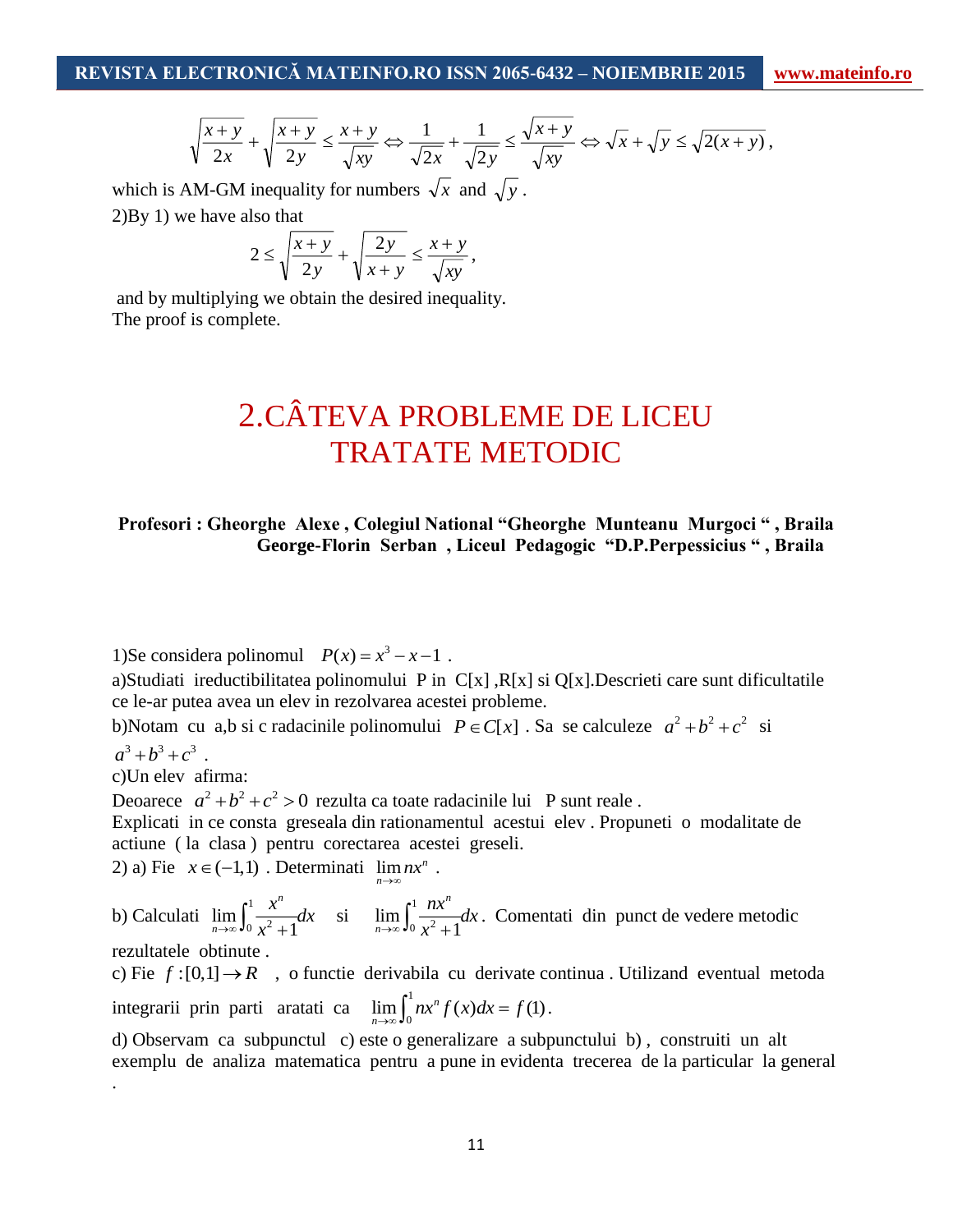$$
\sqrt{\frac{x+y}{2x}} + \sqrt{\frac{x+y}{2y}} \le \frac{x+y}{\sqrt{xy}} \Leftrightarrow \frac{1}{\sqrt{2x}} + \frac{1}{\sqrt{2y}} \le \frac{\sqrt{x+y}}{\sqrt{xy}} \Leftrightarrow \sqrt{x} + \sqrt{y} \le \sqrt{2(x+y)},
$$

which is AM-GM inequality for numbers  $\sqrt{x}$  and  $\sqrt{y}$ . 2)By 1) we have also that

$$
2 \le \sqrt{\frac{x+y}{2y}} + \sqrt{\frac{2y}{x+y}} \le \frac{x+y}{\sqrt{xy}},
$$

and by multiplying we obtain the desired inequality. The proof is complete.

# 2.CÂTEVA PROBLEME DE LICEU TRATATE METODIC

### **Profesori : Gheorghe Alexe , Colegiul National "Gheorghe Munteanu Murgoci " , Braila George-Florin Serban , Liceul Pedagogic "D.P.Perpessicius " , Braila**

1)Se considera polinomul  $P(x) = x^3 - x - 1$ .

a)Studiati ireductibilitatea polinomului P in C[x] ,R[x] si Q[x].Descrieti care sunt dificultatile ce le-ar putea avea un elev in rezolvarea acestei probleme.

b)Notam cu a,b si c radacinile polinomului  $P \in C[x]$ . Sa se calculeze  $a^2 + b^2 + c^2$  si  $a^3 + b^3 + c^3$ .

c)Un elev afirma:

Deoarece  $a^2 + b^2 + c^2 > 0$  rezulta ca toate radacinile lui P sunt reale.

Explicati in ce consta greseala din rationamentul acestui elev . Propuneti o modalitate de actiune ( la clasa ) pentru corectarea acestei greseli.

2) a) Fie  $x \in (-1,1)$ . Determinati  $\lim nx^n$ . *n* →∞

b) Calculati  $\lim_{h \to 0} \int_{0}^{1}$  $\lim_{n\to\infty}\int_0^{\infty}$ 1 *n n x dx*  $\lim_{x \to \infty} \int_0^1 \frac{x^6}{x^2 + 1} dx$  si  $\lim_{n \to \infty} \int_0^1 dx$  $\lim_{n\to\infty}\int_0^{\infty}\frac{dx}{x^2}$ 1 *n*  $\lim_{n\to\infty}\int_0^1\frac{nx}{x^2+1}dx$  $\lim_{x \to \infty} \int_0^1 \frac{hx}{x^2 + 1} dx$ . Comentati din punct de vedere metodic

rezultatele obtinute .

.

c) Fie  $f:[0,1] \to \mathbb{R}$ , o functie derivabila cu derivate continua. Utilizand eventual metoda integrarii prin parti aratati ca  $\lim_{n \to \infty} \int_{0}^{1}$  $\lim_{n\to\infty}\int_0^1 nx^n f(x)dx = f(1).$ 

d) Observam ca subpunctul c) este o generalizare a subpunctului b) , construiti un alt exemplu de analiza matematica pentru a pune in evidenta trecerea de la particular la general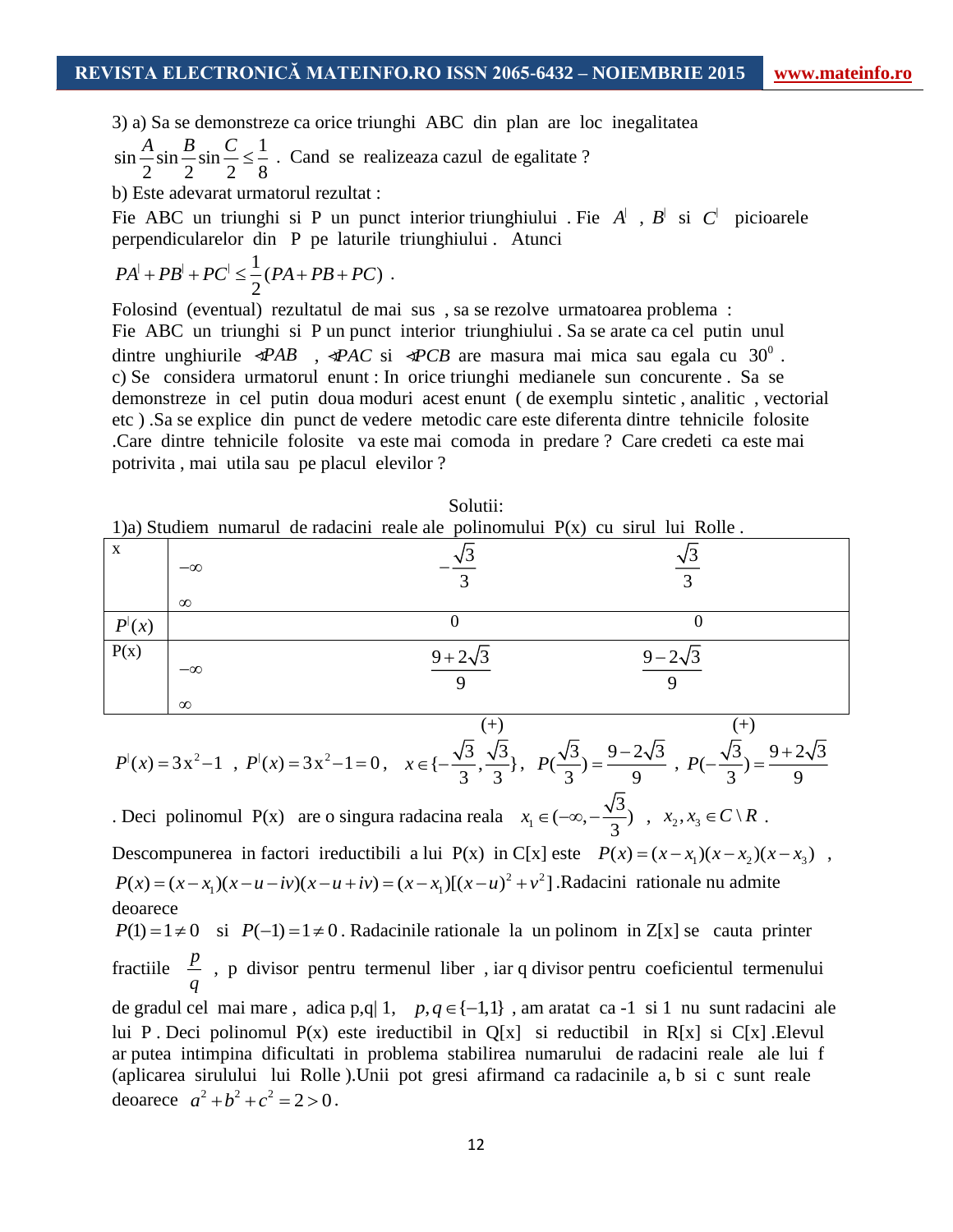3) a) Sa se demonstreze ca orice triunghi ABC din plan are loc inegalitatea

 $\sin \frac{A}{2} \sin \frac{B}{2} \sin \frac{C}{2} \leq \frac{1}{2}$ 2 2 2 8  $\frac{A}{\epsilon}$ sin  $\frac{B}{\epsilon}$  in  $\frac{C}{\epsilon}$   $\leq$   $\frac{1}{\epsilon}$ . Cand se realizeaza cazul de egalitate ? b) Este adevarat urmatorul rezultat :

Fie ABC un triunghi si P un punct interior triunghiului . Fie  $A^{\dagger}$ ,  $B^{\dagger}$  si  $C^{\dagger}$  picioarele perpendicularelor din P pe laturile triunghiului . Atunci

$$
PA^{\dagger} + PB^{\dagger} + PC^{\dagger} \leq \frac{1}{2}(PA + PB + PC)
$$
.

Folosind (eventual) rezultatul de mai sus , sa se rezolve urmatoarea problema : Fie ABC un triunghi si P un punct interior triunghiului . Sa se arate ca cel putin unul dintre unghiurile  $\mathcal{P}AB$ ,  $\mathcal{P}AC$  si  $\mathcal{P}CB$  are masura mai mica sau egala cu 30<sup>0</sup>. c) Se considera urmatorul enunt : In orice triunghi medianele sun concurente . Sa se demonstreze in cel putin doua moduri acest enunt ( de exemplu sintetic , analitic , vectorial etc ) .Sa se explice din punct de vedere metodic care este diferenta dintre tehnicile folosite .Care dintre tehnicile folosite va este mai comoda in predare ? Care credeti ca este mai potrivita , mai utila sau pe placul elevilor ?

|                                      |           | 1)a) Studiem numarul de radacini reale ale polinomului $P(x)$ cu sirul lui Rolle. |                 |  |
|--------------------------------------|-----------|-----------------------------------------------------------------------------------|-----------------|--|
| X                                    |           |                                                                                   |                 |  |
|                                      | $-\infty$ |                                                                                   |                 |  |
|                                      |           |                                                                                   |                 |  |
|                                      | $\infty$  |                                                                                   |                 |  |
| $P^{\scriptscriptstyle\parallel}(x)$ |           |                                                                                   |                 |  |
| P(x)                                 |           | $9 + 2\sqrt{3}$                                                                   | $9 - 2\sqrt{3}$ |  |
|                                      | $-\infty$ |                                                                                   |                 |  |
|                                      |           |                                                                                   |                 |  |
|                                      | $\infty$  |                                                                                   |                 |  |

Solutii:

$$
P(x) = 3x^2 - 1, P'(x) = 3x^2 - 1 = 0, x \in \{-\frac{\sqrt{3}}{3}, \frac{\sqrt{3}}{3}\}, P(\frac{\sqrt{3}}{3}) = \frac{9 - 2\sqrt{3}}{9}, P(-\frac{\sqrt{3}}{3}) = \frac{9 + 2\sqrt{3}}{9}
$$

. Deci polinomul  $P(x)$  are o singura radacina reala  $x_1$  $x_1 \in (-\infty, -\frac{\sqrt{3}}{3})$ ,  $x_2, x_3 \in C \setminus R$ . Descompunerea in factori ireductibili a lui P(x) in C[x] este  $P(x) = (x - x_1)(x - x_2)(x - x_3)$ ,  $P(x) = (x - x_1)(x - u - iv)(x - u + iv) = (x - x_1)[(x - u)^2 + v^2]$ . Radacini rationale nu admite deoarece

 $P(1) = 1 \neq 0$  si  $P(-1) = 1 \neq 0$ . Radacinile rationale la un polinom in Z[x] se cauta printer fractiile *p q* , p divisor pentru termenul liber , iar q divisor pentru coeficientul termenului de gradul cel mai mare, adica p,q| 1,  $p, q \in \{-1,1\}$ , am aratat ca -1 si 1 nu sunt radacini ale lui P . Deci polinomul  $P(x)$  este ireductibil in  $Q[x]$  si reductibil in  $R[x]$  si  $C[x]$  . Elevul ar putea intimpina dificultati in problema stabilirea numarului de radacini reale ale lui f (aplicarea sirulului lui Rolle ).Unii pot gresi afirmand ca radacinile a, b si c sunt reale deoarece  $a^2 + b^2 + c^2 = 2 > 0$ .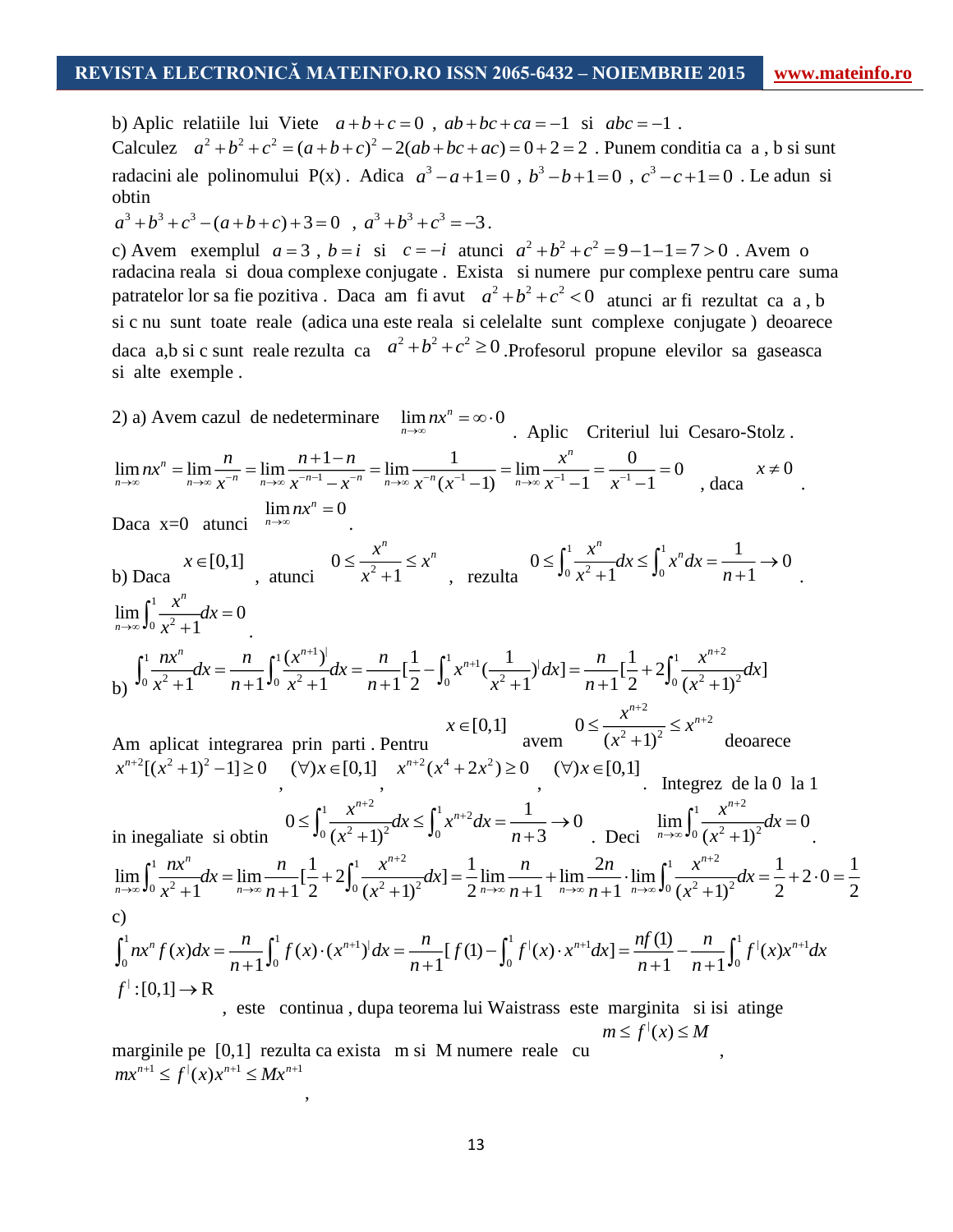b) Aplic relatiile lui Viete  $a+b+c=0$ ,  $ab+bc+ca=-1$  si  $abc=-1$ . Calculez  $a^2 + b^2 + c^2 = (a+b+c)^2 - 2(ab+bc+ac) = 0+2=2$ . Punem conditia ca a, b si sunt radacini ale polinomului P(x). Adica  $a^3 - a + 1 = 0$ ,  $b^3 - b + 1 = 0$ ,  $c^3 - c + 1 = 0$ . Le adun si obtin  $a^3 + b^3 + c^3 - (a+b+c) + 3 = 0$ ,  $a^3 + b^3 + c^3 = -3$ .

c) Avem exemplul  $a = 3$ ,  $b = i$  si  $c = -i$  atunci  $a^2 + b^2 + c^2 = 9 - 1 - 1 = 7 > 0$ . Avem o radacina reala si doua complexe conjugate . Exista si numere pur complexe pentru care suma patratelor lor sa fie pozitiva . Daca am fi avut  $a^2 + b^2 + c^2 < 0$  atunci ar fi rezultat ca a, b si c nu sunt toate reale (adica una este reala si celelalte sunt complexe conjugate ) deoarece daca a,b si c sunt reale rezulta ca  $a^2 + b^2 + c^2 \ge 0$ . Profesorul propune elevilor sa gaseasca si alte exemple .

2) a) A vem czzul de nedeterminare 
$$
\lim_{n\to\infty} nx^n = \infty \cdot 0
$$
.   
\nAplic Criteriul lui Cesaro-Stolz.  
\n $\lim_{n\to\infty} nx^n = \lim_{n\to\infty} \frac{n}{x^{-n}} = \lim_{n\to\infty} \frac{n+1-n}{x^{-n-1}-x^{-n}} = \lim_{n\to\infty} \frac{x^n}{x^{-n}(x^{-1}-1)} = \lim_{n\to\infty} \frac{x^n}{x^{-1}-1} = \frac{0}{x^{-1}-1} = 0$ ,  $\text{daca } x \neq 0$ .  
\nDaca x = 0 atunci  $\lim_{n\to\infty} x^n = 0$ .  
\nb) Daca  $x \in [0,1]$ ,  $0 \le \frac{x^n}{x^2+1} \le x^n$ ,  $\text{resulta } 0 \le \int_0^1 \frac{x^n}{x^2+1} dx \le \int_0^1 x^n dx = \frac{1}{n+1} \rightarrow 0$ .  
\n $\lim_{n\to\infty} \int_0^1 \frac{nx^n}{x^2+1} dx = 0$ .  
\n $\lim_{n\to\infty} \int_0^1 \frac{nx^n}{x^2+1} dx = \frac{n}{n+1} \int_0^1 \frac{x^{n+1}}{x^2+1} dx = \frac{n}{n+1} [\frac{1}{2} - \int_0^1 x^{n+1} (\frac{1}{x^2+1})^1 dx] = \frac{n}{n+1} [\frac{1}{2} + 2 \int_0^1 \frac{x^{n+2}}{(x^2+1)^2} dx]$   
\nAm aplicat integrarea prin parti. Pentu  $x \in [0,1]$   $\text{avem } 0 \le \frac{x^{n+2}}{(x^2+1)^2} \le x^{n+2}$   $\text{devarace}$   
\n $x^{n+2} [ (x^2+1)^2 -1] \ge 0$   $(\forall) x \in [0,1]$   $x^{n+2} (x^4+2x^2) \ge 0$   $(\forall) x \in [0,1]$ . Integrate de la 0 la 1  
\nin inggaliate si obtin  $0 \le \int_0^1 \frac{x^{n+2}}{(x^2+1)^2} dx \le \int_0^1 x^{n+2} dx = \frac{$ 

 $mx^{n+1} \leq f^{\prime}(x) x^{n+1} \leq Mx^{n+1}$ ,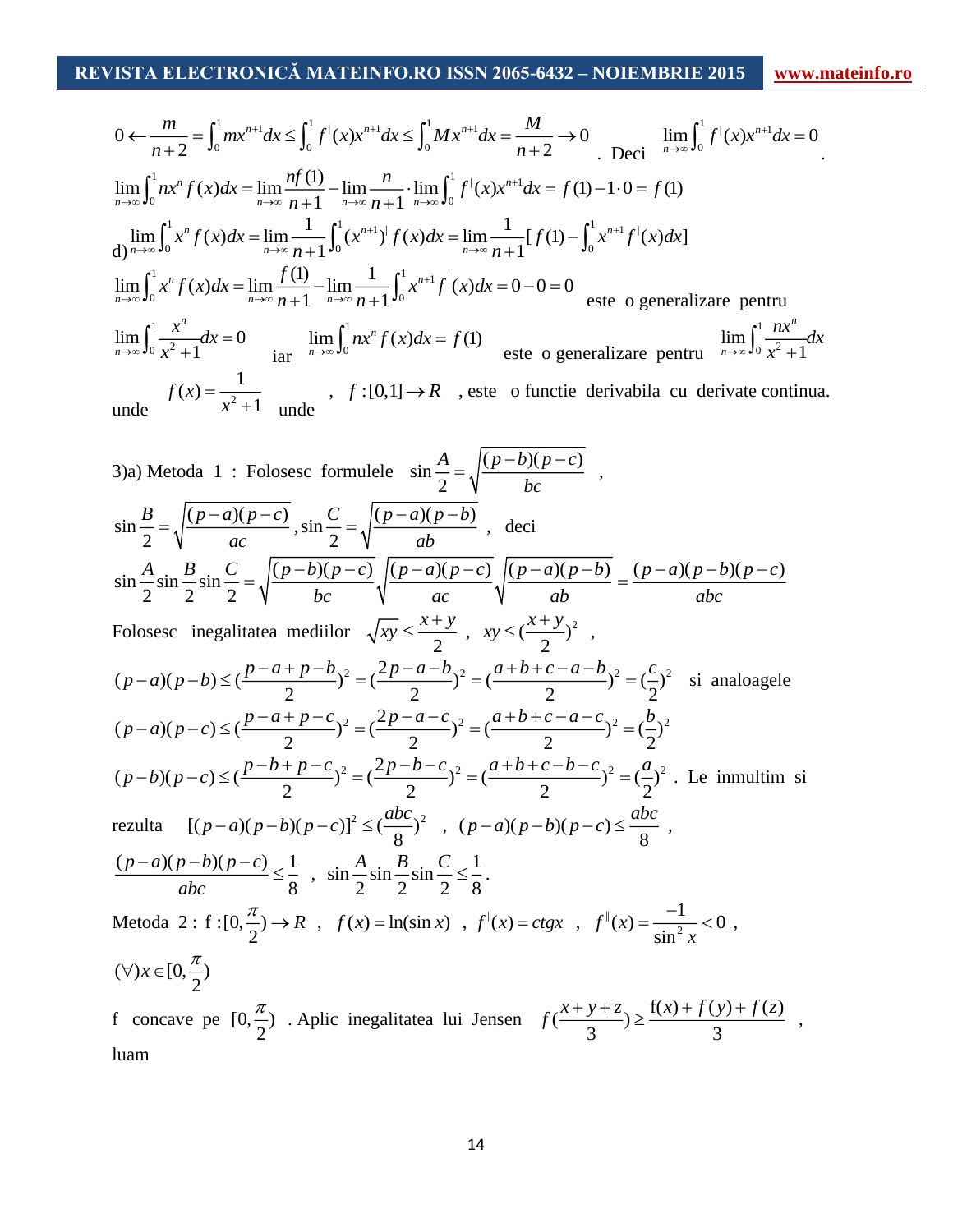$$
0 \leftarrow \frac{m}{n+2} = \int_0^1 mx^{n+1} dx \le \int_0^1 f^{\parallel}(x)x^{n+1} dx \le \int_0^1 Mx^{n+1} dx = \frac{M}{n+2} \to 0 \quad \lim_{n \to \infty} \int_0^1 f^{\parallel}(x)x^{n+1} dx = 0
$$
  
\n
$$
\lim_{n \to \infty} \int_0^1 nx^n f(x) dx = \lim_{n \to \infty} \frac{nf(1)}{n+1} - \lim_{n \to \infty} \frac{n}{n+1} \cdot \lim_{n \to \infty} \int_0^1 f^{\parallel}(x)x^{n+1} dx = f(1) - 1 \cdot 0 = f(1)
$$
  
\n
$$
\lim_{n \to \infty} \int_0^1 x^n f(x) dx = \lim_{n \to \infty} \frac{1}{n+1} \int_0^1 (x^{n+1})^{\parallel} f(x) dx = \lim_{n \to \infty} \frac{1}{n+1} [f(1) - \int_0^1 x^{n+1} f^{\parallel}(x) dx]
$$
  
\n
$$
\lim_{n \to \infty} \int_0^1 x^n f(x) dx = \lim_{n \to \infty} \frac{f(1)}{n+1} - \lim_{n \to \infty} \frac{1}{n+1} \int_0^1 x^{n+1} f^{\parallel}(x) dx = 0 - 0 = 0
$$
  
\n
$$
\lim_{n \to \infty} \int_0^1 \frac{x^n}{x^2 + 1} dx = 0 \qquad \lim_{n \to \infty} \int_0^1 nx^n f(x) dx = f(1)
$$
  
\n
$$
\lim_{n \to \infty} \int_0^1 \frac{nx^n}{x^2 + 1} dx = 0 \qquad \lim_{n \to \infty} \int_0^1 nx^n f(x) dx = f(1)
$$
  
\n
$$
\lim_{n \to \infty} \int_0^1 \frac{nx^n}{x^2 + 1} dx = \lim_{n \to \infty} \int_0^1 x^n f(x) dx = f(1)
$$
  
\n
$$
\lim_{n \to \infty} \int_0^1 \frac{nx^n}{x^2 + 1} dx = 0 \qquad \lim_{n \to \infty} \int_0^1 nx^n f(x) dx = 0
$$
  
\n
$$
\lim_{n
$$

 $\int_{1}^{1} mx^{n+1} dx \leq \int_{0}^{1} f^{1}(x)x^{n+1} dx \leq \int_{0}^{1} M x^{n+1} dx$ <br>  $ddx = \lim_{n \to \infty} \frac{nf(1)}{n+1} - \lim_{n \to \infty} \frac{n}{n+1} \cdot \lim_{n \to \infty} \int_{0}^{1} f^{1}(x) dx$ <br>  $f(x)dx = \lim_{n \to \infty} \frac{1}{n+1} \int_{0}^{1} (x^{n+1}) f(x) dx = \lim_{n \to \infty} \frac{f(1)}{n+1} - \lim_{n \to \infty} \frac{1}{n+$ 3)a) Metoda 1 : Folosesc formulele  $\sin \frac{A}{2} = \sqrt{\frac{(p-b)(p-c)}{2}}$ 2 *A*  $(p - b)(p - c)$ *bc*  $=\sqrt{\frac{(p-v)(p-c)}{r}}$ ,  $\sin \frac{B}{q} = \frac{(p-a)(p-c)}{2}$ 2 *B*  $(p-a)(p-c)$ *ac*  $=\sqrt{\frac{(p-a)(p-c)}{2}}$ ,  $\sin \frac{C}{2} = \sqrt{\frac{(p-a)(p-b)}{2}}$ 2 *C*  $|(p-a)(p-b)$ *ab*  $=\sqrt{\frac{(p-a)(p-b)}{a}}$ , deci  $\sin \frac{A}{2} \sin \frac{B}{2} \sin \frac{C}{2} = \sqrt{\frac{(p-b)(p-c)}{(p-a)(p-c)}} \sqrt{\frac{(p-a)(p-b)}{(p-a)(p-b)}} = \frac{(p-a)(p-b)(p-c)}{(p-a)(p-b)(p-c)}$ 2 2 2 *A*  $B \cap C$   $(p-b)(p-c)$   $(p-a)(p-c)$   $(p-a)(p-b)$   $(p-a)(p-b)(p-c)$ *bc ac ab abc*  $=\sqrt{(p-v)(p-v)}\sqrt{(p-u)(p-v)}\sqrt{(p-u)(p-v)} = \sqrt{(p-u)(p-v)(p-v)}$ Folosesc inegalitatea mediilor  $\sqrt{xy} \leq \frac{x+1}{2}$  $\frac{x}{xy} \leq \frac{x+y}{2}$  $\leq \frac{x+y}{2}$ ,  $xy \leq (\frac{x+y}{2})^2$  $xy \leq (\frac{x+y}{2})$  $\leq \left(\frac{x+y}{2}\right)^2$ ,  $(p-a)(p-b) \leq (\frac{p-a+p-b}{2})^2 = (\frac{2p-a-b}{2})^2 = (\frac{a+b+c-a-b}{2})^2 = (\frac{c}{2})^2$  si analoagele  $(p-a)(p-c) \leq (\frac{p-a+p-c}{2})^2 = (\frac{2p-a-c}{2})^2 = (\frac{a+b+c-a-c}{2})^2 = (\frac{b}{2})^2$  $p-a(p-c) \leq \left(\frac{p-a+p-c}{2}\right)^2 = \left(\frac{2p-a-c}{2}\right)^2 = \left(\frac{a+b+c-a-c}{2}\right)^2 = \left(\frac{b-a-b}{2}\right)^2$  $(p-b)(p-c) \leq (\frac{p-b+p-c}{2})^2 = (\frac{2p-b-c}{2})^2 = (\frac{a+b+c-b-c}{2})^2 = (\frac{a}{2})^2$ . Le inmultim si rezulta  $[(p-a)(p-b)(p-c)]^2 \leq (\frac{abc}{8})^2$  $(p-a)(p-b)(p-c)^2 \leq \left(\frac{abc}{8}\right)^2$ ,  $(p-a)(p-b)(p-c) \leq \frac{ab}{8}$  $p - a)(p - b)(p - c) \leq \frac{abc}{2}$ ,  $(p-a)(p-b)(p-c)$ , 1 8  $p - a$  $(p - b)(p - c)$  $\frac{-a(x)-b(x)-c}{abc} \leq \frac{1}{8}$ ,  $\sin \frac{A}{2} \sin \frac{B}{2} \sin \frac{C}{2} \leq \frac{1}{8}$  $\frac{A}{2}\sin\frac{B}{2}\sin\frac{C}{2}\leq\frac{1}{8}$ . Metoda 2 :  $f:[0,\frac{\pi}{2})$  $\frac{\pi}{\epsilon}$   $\rightarrow$  *R*,  $f(x)$  = ln(sin x),  $f'(x)$  = ctgx,  $f''(x)$ 2  $f''(x) = \frac{-1}{\sin^2 x} < 0$  $=\frac{-1}{1}$  < 0,  $(\forall x \in [0, \frac{\pi}{2})$ f concave pe  $[0, \frac{\pi}{2})$  $\frac{\pi}{2}$ ). Aplic inegalitatea lui Jensen  $f(\frac{x+y+z}{2}) \ge \frac{f(x)+f(y)+f(z)}{2}$  $\frac{y+z}{3}) \geq \frac{f(x)+f(y)}{3}$  $f(\frac{x+y+z}{z}) \geq \frac{f(x)+f(y)+f(z)}{z},$ luam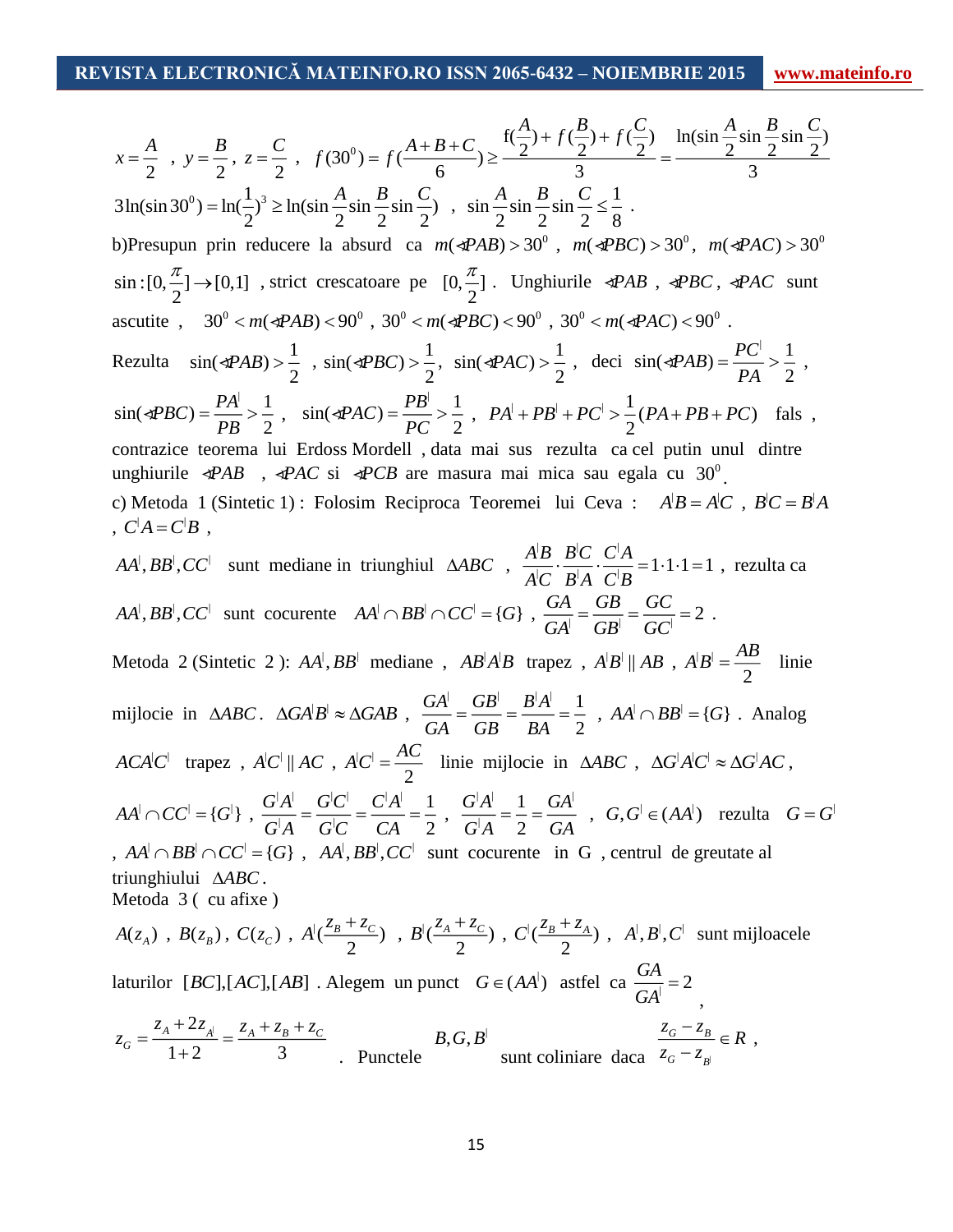$$
x = \frac{A}{2}, y = \frac{B}{2}, z = \frac{C}{2}, f(30^0) = f(\frac{A+B+C}{6}) \ge \frac{R(\frac{A}{2}) + f(\frac{B}{2}) + f(\frac{C}{2})}{3} = \frac{\ln(\sin\frac{A}{2}\sin\frac{B}{2}\sin\frac{C}{2})}{3}
$$
  
\n3ln(sin 30°) = ln( $\frac{1}{2}$ )<sup>2</sup>  $\ge \ln(\sin\frac{A}{2}\sin\frac{B}{2}\sin\frac{C}{2})$ ,  $\sin\frac{A}{2}\sin\frac{B}{2}\sin\frac{C}{2} \le \frac{1}{8}$ .  
\nb)Presupun prin reduce re la absurd ca  $m(\Phi ABB) > 30^{\circ}$ ,  $m(\Phi BC) > 30^{\circ}$ ,  $m(\Phi AC) > 30^{\circ}$   
\nsin:  $[0, \frac{\pi}{2}] \rightarrow [0,1]$ , strict crescatoare pe  $[0, \frac{\pi}{2}]$ . Unghiririle  $\Phi AB$ ,  $\Phi BC$ ,  $\Phi AC$  sunt  
\nascutite,  $30^{\circ} < m(\Phi AB) > 90^{\circ}$ ,  $30^{\circ} < m(\Phi BC) < 90^{\circ}$ ,  $30^{\circ} < m(\Phi AC) < 90^{\circ}$ .  
\nRezulta  $\sin(\Phi AB) > \frac{1}{2}$ ,  $\sin(\Phi BC) > \frac{1}{2}$ ,  $\sin(\Phi AC) > \frac{1}{2}$ , deci  $\sin(\Phi AB) = \frac{PC}{PA} > \frac{1}{2}$ ,  
\n $\sin(4PBC) = \frac{PA}{PB} > \frac{1}{2}$ ,  $\sin(\Phi ABC) > \frac{1}{2}$ ,  $PA + PB + PC > \frac{1}{2}(PA + PB + PC)$  false,  
\ncontrazice toorema lui Erdoss Mordell, data mai sus rezulta ca el putin unul dintre  
\nunghiririle  $\Phi AB$ ,  $\Phi AC$  si  $\Phi CB$  are masura mai mica sau egala cu 30°.  
\nc) Metoda 1 (Sintetic 1): Folosim Reciproca Teoremei lui Ceva :  $AB = AC$ ,  $BC = B'A$   
\nc  $AC = CB$ ,  
\n $CA = CB$ ,